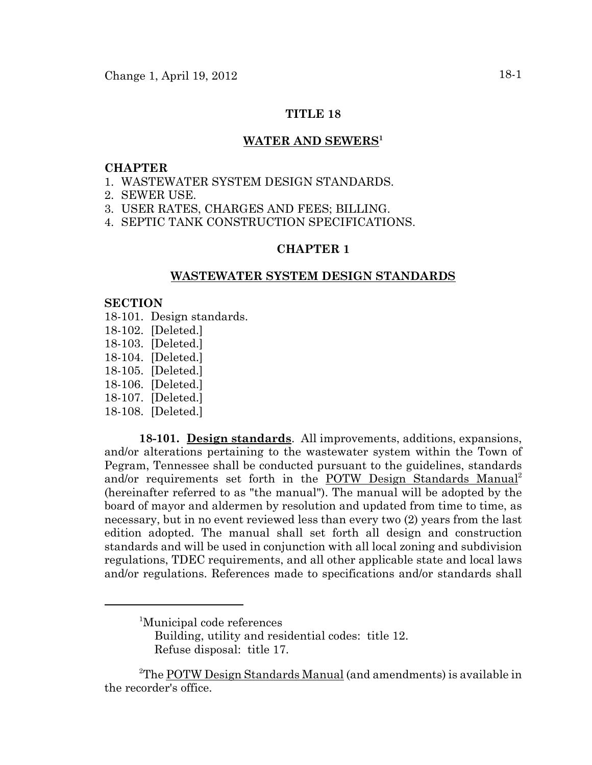## **TITLE 18**

## WATER AND SEWERS<sup>1</sup>

#### **CHAPTER**

- 1. WASTEWATER SYSTEM DESIGN STANDARDS.
- 2. SEWER USE.
- 3. USER RATES, CHARGES AND FEES; BILLING.
- 4. SEPTIC TANK CONSTRUCTION SPECIFICATIONS.

# **CHAPTER 1**

# **WASTEWATER SYSTEM DESIGN STANDARDS**

# **SECTION**

- 18-101. Design standards.
- 18-102. [Deleted.]
- 18-103. [Deleted.]
- 18-104. [Deleted.]
- 18-105. [Deleted.]
- 18-106. [Deleted.]
- 18-107. [Deleted.]
- 18-108. [Deleted.]

**18-101. Design standards**. All improvements, additions, expansions, and/or alterations pertaining to the wastewater system within the Town of Pegram, Tennessee shall be conducted pursuant to the guidelines, standards and/or requirements set forth in the POTW Design Standards Manual<sup>2</sup> (hereinafter referred to as "the manual"). The manual will be adopted by the board of mayor and aldermen by resolution and updated from time to time, as necessary, but in no event reviewed less than every two (2) years from the last edition adopted. The manual shall set forth all design and construction standards and will be used in conjunction with all local zoning and subdivision regulations, TDEC requirements, and all other applicable state and local laws and/or regulations. References made to specifications and/or standards shall

<sup>1</sup> Municipal code references

Building, utility and residential codes: title 12. Refuse disposal: title 17.

<sup>&</sup>lt;sup>2</sup>The <u>POTW Design Standards Manual</u> (and amendments) is available in the recorder's office.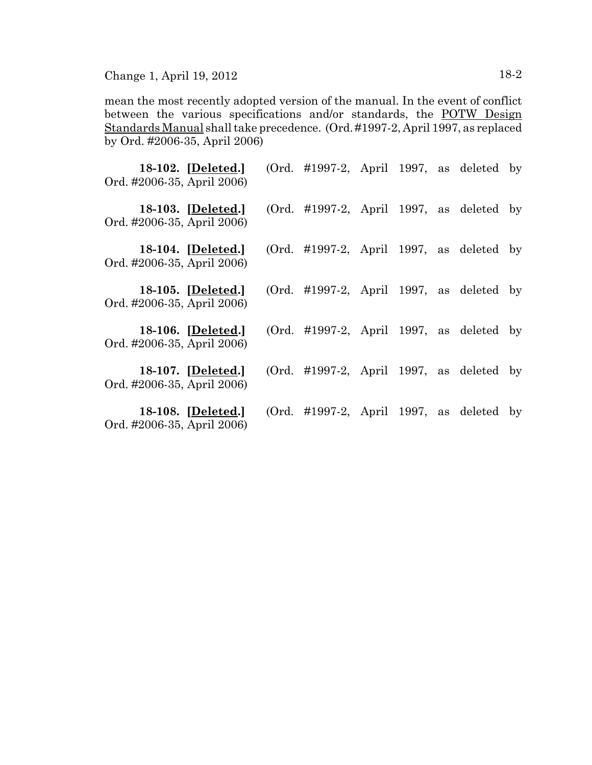Change 1, April 19, 2012 18-2

mean the most recently adopted version of the manual. In the event of conflict between the various specifications and/or standards, the POTW Design Standards Manual shall take precedence. (Ord. #1997-2, April 1997, as replaced by Ord. #2006-35, April 2006)

| 18-102. [Deleted.]<br>Ord. #2006-35, April 2006) | (Ord. $\#1997-2$ , April 1997, as deleted by |  |  |  |
|--------------------------------------------------|----------------------------------------------|--|--|--|
| 18-103. [Deleted.]<br>Ord. #2006-35, April 2006) | (Ord. $\#1997-2$ , April 1997, as deleted by |  |  |  |
| 18-104. [Deleted.]<br>Ord. #2006-35, April 2006) | $(Ord. \#1997-2, April 1997, as deleted by$  |  |  |  |
| 18-105. [Deleted.]<br>Ord. #2006-35, April 2006) | (Ord. $\#1997-2$ , April 1997, as deleted by |  |  |  |
| 18-106. [Deleted.]<br>Ord. #2006-35, April 2006) | $(Ord. \#1997-2, April 1997, as deleted by$  |  |  |  |
| 18-107. [Deleted.]<br>Ord. #2006-35, April 2006) | (Ord. $\#1997-2$ , April 1997, as deleted by |  |  |  |
| 18-108. [Deleted.]<br>Ord. #2006-35, April 2006) | (Ord. $\#1997-2$ , April 1997, as deleted by |  |  |  |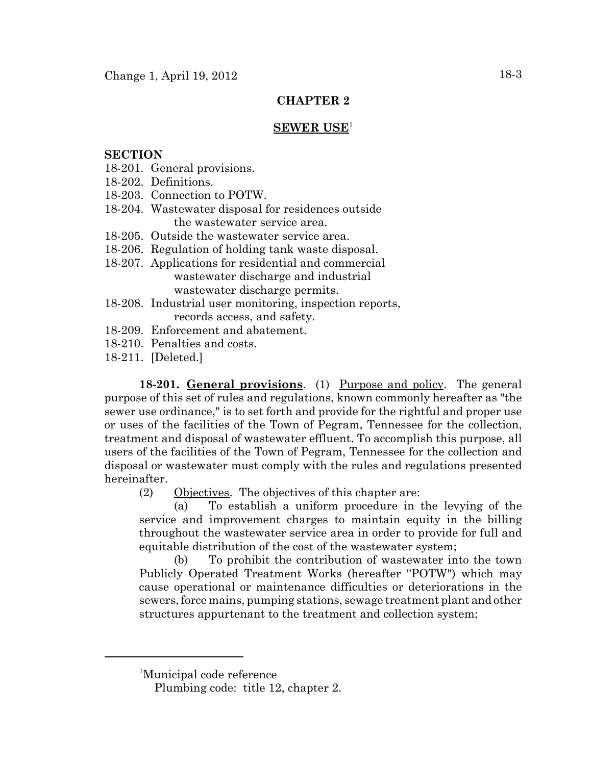# **CHAPTER 2**

# **SEWER USE**<sup>1</sup>

### **SECTION**

- 18-201. General provisions.
- 18-202. Definitions.
- 18-203. Connection to POTW.
- 18-204. Wastewater disposal for residences outside the wastewater service area.
- 18-205. Outside the wastewater service area.
- 18-206. Regulation of holding tank waste disposal.
- 18-207. Applications for residential and commercial wastewater discharge and industrial wastewater discharge permits.
- 18-208. Industrial user monitoring, inspection reports, records access, and safety.
- 18-209. Enforcement and abatement.
- 18-210. Penalties and costs.
- 18-211. [Deleted.]

**18-201. General provisions**. (1) Purpose and policy. The general purpose of this set of rules and regulations, known commonly hereafter as "the sewer use ordinance," is to set forth and provide for the rightful and proper use or uses of the facilities of the Town of Pegram, Tennessee for the collection, treatment and disposal of wastewater effluent. To accomplish this purpose, all users of the facilities of the Town of Pegram, Tennessee for the collection and disposal or wastewater must comply with the rules and regulations presented hereinafter.

(2) Objectives. The objectives of this chapter are:

(a) To establish a uniform procedure in the levying of the service and improvement charges to maintain equity in the billing throughout the wastewater service area in order to provide for full and equitable distribution of the cost of the wastewater system;

(b) To prohibit the contribution of wastewater into the town Publicly Operated Treatment Works (hereafter ''POTW") which may cause operational or maintenance difficulties or deteriorations in the sewers, force mains, pumping stations, sewage treatment plant and other structures appurtenant to the treatment and collection system;

<sup>1</sup> Municipal code reference

Plumbing code: title 12, chapter 2.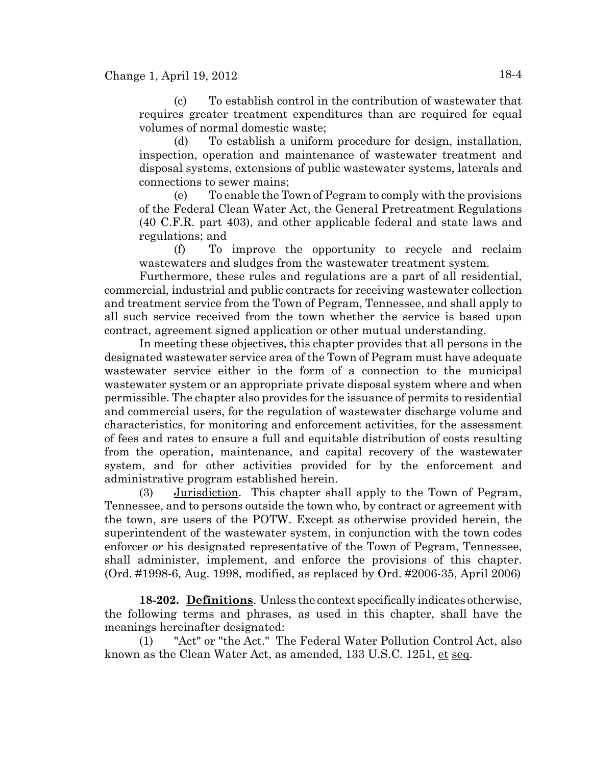(c) To establish control in the contribution of wastewater that requires greater treatment expenditures than are required for equal volumes of normal domestic waste;

(d) To establish a uniform procedure for design, installation, inspection, operation and maintenance of wastewater treatment and disposal systems, extensions of public wastewater systems, laterals and connections to sewer mains;

(e) To enable the Town of Pegram to comply with the provisions of the Federal Clean Water Act, the General Pretreatment Regulations (40 C.F.R. part 403), and other applicable federal and state laws and regulations; and

(f) To improve the opportunity to recycle and reclaim wastewaters and sludges from the wastewater treatment system.

Furthermore, these rules and regulations are a part of all residential, commercial, industrial and public contracts for receiving wastewater collection and treatment service from the Town of Pegram, Tennessee, and shall apply to all such service received from the town whether the service is based upon contract, agreement signed application or other mutual understanding.

In meeting these objectives, this chapter provides that all persons in the designated wastewater service area of the Town of Pegram must have adequate wastewater service either in the form of a connection to the municipal wastewater system or an appropriate private disposal system where and when permissible. The chapter also provides for the issuance of permits to residential and commercial users, for the regulation of wastewater discharge volume and characteristics, for monitoring and enforcement activities, for the assessment of fees and rates to ensure a full and equitable distribution of costs resulting from the operation, maintenance, and capital recovery of the wastewater system, and for other activities provided for by the enforcement and administrative program established herein.

(3) Jurisdiction. This chapter shall apply to the Town of Pegram, Tennessee, and to persons outside the town who, by contract or agreement with the town, are users of the POTW. Except as otherwise provided herein, the superintendent of the wastewater system, in conjunction with the town codes enforcer or his designated representative of the Town of Pegram, Tennessee, shall administer, implement, and enforce the provisions of this chapter. (Ord. #1998-6, Aug. 1998, modified, as replaced by Ord. #2006-35, April 2006)

**18-202. Definitions**. Unless the context specifically indicates otherwise, the following terms and phrases, as used in this chapter, shall have the meanings hereinafter designated:

(1) "Act" or ''the Act." The Federal Water Pollution Control Act, also known as the Clean Water Act, as amended, 133 U.S.C. 1251, et seq.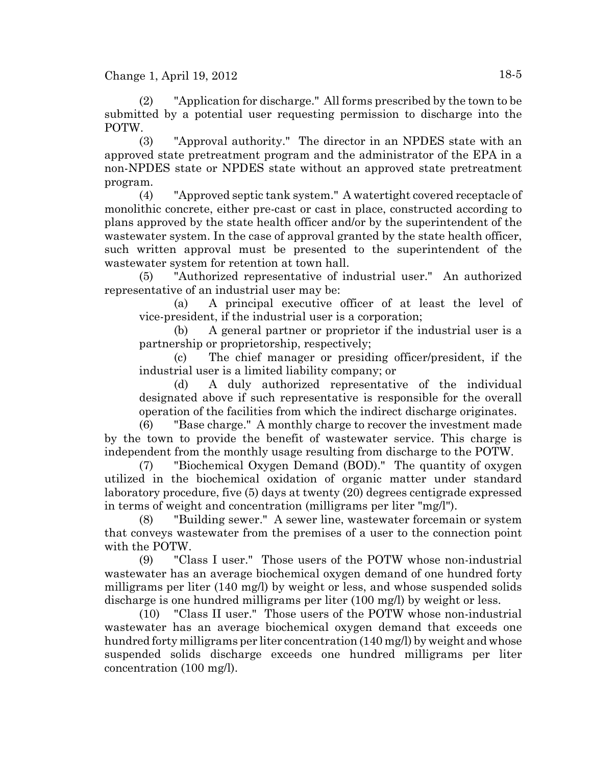(2) "Application for discharge." All forms prescribed by the town to be submitted by a potential user requesting permission to discharge into the POTW.

(3) "Approval authority." The director in an NPDES state with an approved state pretreatment program and the administrator of the EPA in a non-NPDES state or NPDES state without an approved state pretreatment program.

(4) "Approved septic tank system." A watertight covered receptacle of monolithic concrete, either pre-cast or cast in place, constructed according to plans approved by the state health officer and/or by the superintendent of the wastewater system. In the case of approval granted by the state health officer, such written approval must be presented to the superintendent of the wastewater system for retention at town hall.

(5) "Authorized representative of industrial user." An authorized representative of an industrial user may be:

(a) A principal executive officer of at least the level of vice-president, if the industrial user is a corporation;

(b) A general partner or proprietor if the industrial user is a partnership or proprietorship, respectively;

(c) The chief manager or presiding officer/president, if the industrial user is a limited liability company; or

(d) A duly authorized representative of the individual designated above if such representative is responsible for the overall operation of the facilities from which the indirect discharge originates.

(6) "Base charge." A monthly charge to recover the investment made by the town to provide the benefit of wastewater service. This charge is independent from the monthly usage resulting from discharge to the POTW.

(7) "Biochemical Oxygen Demand (BOD)." The quantity of oxygen utilized in the biochemical oxidation of organic matter under standard laboratory procedure, five (5) days at twenty (20) degrees centigrade expressed in terms of weight and concentration (milligrams per liter "mg/l").

(8) "Building sewer." A sewer line, wastewater forcemain or system that conveys wastewater from the premises of a user to the connection point with the POTW.

(9) "Class I user." Those users of the POTW whose non-industrial wastewater has an average biochemical oxygen demand of one hundred forty milligrams per liter (140 mg/l) by weight or less, and whose suspended solids discharge is one hundred milligrams per liter (100 mg/l) by weight or less.

(10) "Class II user." Those users of the POTW whose non-industrial wastewater has an average biochemical oxygen demand that exceeds one hundred forty milligrams per liter concentration (140 mg/l) by weight and whose suspended solids discharge exceeds one hundred milligrams per liter concentration (100 mg/l).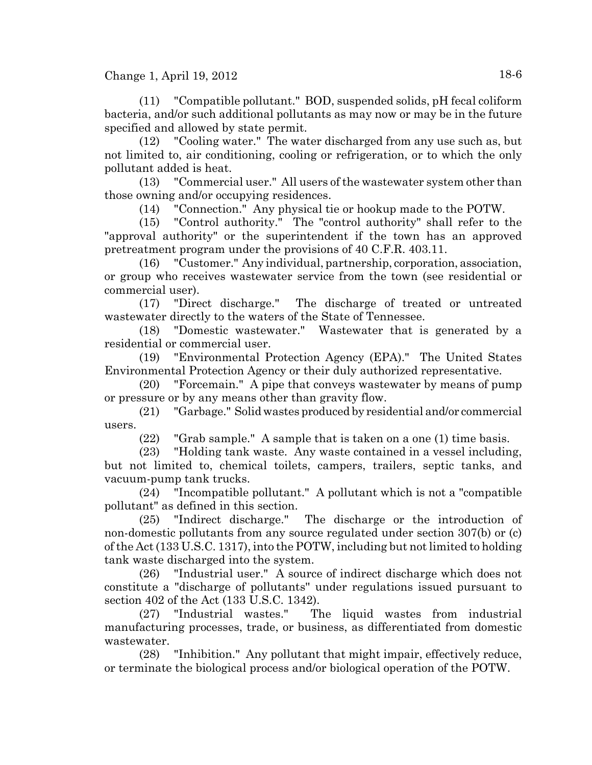Change 1, April 19, 2012  $18-6$ 

(11) "Compatible pollutant." BOD, suspended solids, pH fecal coliform bacteria, and/or such additional pollutants as may now or may be in the future specified and allowed by state permit.

(12) "Cooling water." The water discharged from any use such as, but not limited to, air conditioning, cooling or refrigeration, or to which the only pollutant added is heat.

(13) "Commercial user." All users of the wastewater system other than those owning and/or occupying residences.

(14) "Connection." Any physical tie or hookup made to the POTW.

(15) "Control authority." The "control authority" shall refer to the "approval authority" or the superintendent if the town has an approved pretreatment program under the provisions of 40 C.F.R. 403.11.

(16) "Customer." Any individual, partnership, corporation, association, or group who receives wastewater service from the town (see residential or commercial user).

(17) "Direct discharge." The discharge of treated or untreated wastewater directly to the waters of the State of Tennessee.

(18) "Domestic wastewater." Wastewater that is generated by a residential or commercial user.

(19) "Environmental Protection Agency (EPA)." The United States Environmental Protection Agency or their duly authorized representative.

(20) "Forcemain." A pipe that conveys wastewater by means of pump or pressure or by any means other than gravity flow.

(21) "Garbage." Solid wastes produced by residential and/or commercial users.

(22) "Grab sample." A sample that is taken on a one (1) time basis.

(23) "Holding tank waste. Any waste contained in a vessel including, but not limited to, chemical toilets, campers, trailers, septic tanks, and vacuum-pump tank trucks.

(24) "Incompatible pollutant." A pollutant which is not a "compatible pollutant" as defined in this section.

(25) "Indirect discharge." The discharge or the introduction of non-domestic pollutants from any source regulated under section 307(b) or (c) of the Act (133 U.S.C. 1317), into the POTW, including but not limited to holding tank waste discharged into the system.

(26) "Industrial user." A source of indirect discharge which does not constitute a "discharge of pollutants'' under regulations issued pursuant to section 402 of the Act (133 U.S.C. 1342).

(27) "Industrial wastes." The liquid wastes from industrial manufacturing processes, trade, or business, as differentiated from domestic wastewater.

(28) "Inhibition." Any pollutant that might impair, effectively reduce, or terminate the biological process and/or biological operation of the POTW.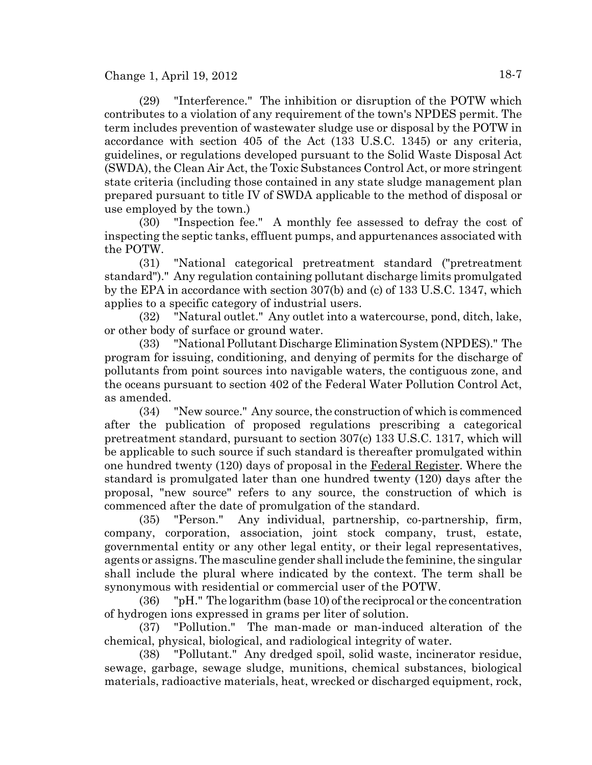(29) "Interference." The inhibition or disruption of the POTW which contributes to a violation of any requirement of the town's NPDES permit. The term includes prevention of wastewater sludge use or disposal by the POTW in accordance with section 405 of the Act (133 U.S.C. 1345) or any criteria, guidelines, or regulations developed pursuant to the Solid Waste Disposal Act (SWDA), the Clean Air Act, the Toxic Substances Control Act, or more stringent state criteria (including those contained in any state sludge management plan prepared pursuant to title IV of SWDA applicable to the method of disposal or use employed by the town.)

(30) "Inspection fee." A monthly fee assessed to defray the cost of inspecting the septic tanks, effluent pumps, and appurtenances associated with the POTW.

(31) "National categorical pretreatment standard ("pretreatment standard")." Any regulation containing pollutant discharge limits promulgated by the EPA in accordance with section 307(b) and (c) of 133 U.S.C. 1347, which applies to a specific category of industrial users.

(32) "Natural outlet." Any outlet into a watercourse, pond, ditch, lake, or other body of surface or ground water.

(33) "National Pollutant Discharge Elimination System (NPDES)." The program for issuing, conditioning, and denying of permits for the discharge of pollutants from point sources into navigable waters, the contiguous zone, and the oceans pursuant to section 402 of the Federal Water Pollution Control Act, as amended.

(34) "New source." Any source, the construction of which is commenced after the publication of proposed regulations prescribing a categorical pretreatment standard, pursuant to section 307(c) 133 U.S.C. 1317, which will be applicable to such source if such standard is thereafter promulgated within one hundred twenty (120) days of proposal in the Federal Register. Where the standard is promulgated later than one hundred twenty (120) days after the proposal, "new source" refers to any source, the construction of which is commenced after the date of promulgation of the standard.

(35) "Person." Any individual, partnership, co-partnership, firm, company, corporation, association, joint stock company, trust, estate, governmental entity or any other legal entity, or their legal representatives, agents or assigns. The masculine gender shall include the feminine, the singular shall include the plural where indicated by the context. The term shall be synonymous with residential or commercial user of the POTW.

(36) "pH." The logarithm (base 10) of the reciprocal or the concentration of hydrogen ions expressed in grams per liter of solution.

(37) "Pollution." The man-made or man-induced alteration of the chemical, physical, biological, and radiological integrity of water.

(38) "Pollutant." Any dredged spoil, solid waste, incinerator residue, sewage, garbage, sewage sludge, munitions, chemical substances, biological materials, radioactive materials, heat, wrecked or discharged equipment, rock,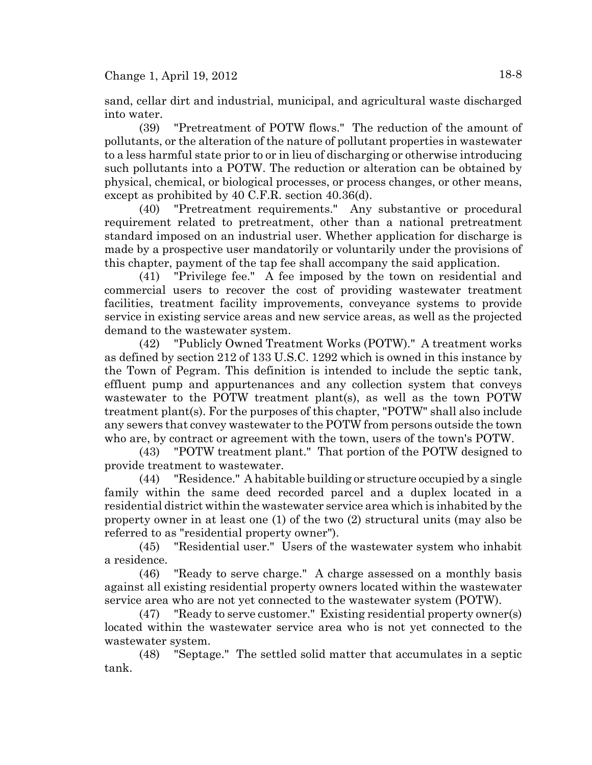sand, cellar dirt and industrial, municipal, and agricultural waste discharged into water.

(39) "Pretreatment of POTW flows." The reduction of the amount of pollutants, or the alteration of the nature of pollutant properties in wastewater to a less harmful state prior to or in lieu of discharging or otherwise introducing such pollutants into a POTW. The reduction or alteration can be obtained by physical, chemical, or biological processes, or process changes, or other means, except as prohibited by 40 C.F.R. section 40.36(d).

(40) "Pretreatment requirements." Any substantive or procedural requirement related to pretreatment, other than a national pretreatment standard imposed on an industrial user. Whether application for discharge is made by a prospective user mandatorily or voluntarily under the provisions of this chapter, payment of the tap fee shall accompany the said application.

(41) "Privilege fee." A fee imposed by the town on residential and commercial users to recover the cost of providing wastewater treatment facilities, treatment facility improvements, conveyance systems to provide service in existing service areas and new service areas, as well as the projected demand to the wastewater system.

(42) "Publicly Owned Treatment Works (POTW)." A treatment works as defined by section 212 of 133 U.S.C. 1292 which is owned in this instance by the Town of Pegram. This definition is intended to include the septic tank, effluent pump and appurtenances and any collection system that conveys wastewater to the POTW treatment plant(s), as well as the town POTW treatment plant(s). For the purposes of this chapter, "POTW" shall also include any sewers that convey wastewater to the POTW from persons outside the town who are, by contract or agreement with the town, users of the town's POTW.

(43) "POTW treatment plant." That portion of the POTW designed to provide treatment to wastewater.

(44) "Residence." A habitable building or structure occupied by a single family within the same deed recorded parcel and a duplex located in a residential district within the wastewater service area which is inhabited by the property owner in at least one (1) of the two (2) structural units (may also be referred to as "residential property owner").

(45) "Residential user." Users of the wastewater system who inhabit a residence.

(46) "Ready to serve charge." A charge assessed on a monthly basis against all existing residential property owners located within the wastewater service area who are not yet connected to the wastewater system (POTW).

(47) "Ready to serve customer." Existing residential property owner(s) located within the wastewater service area who is not yet connected to the wastewater system.

(48) "Septage." The settled solid matter that accumulates in a septic tank.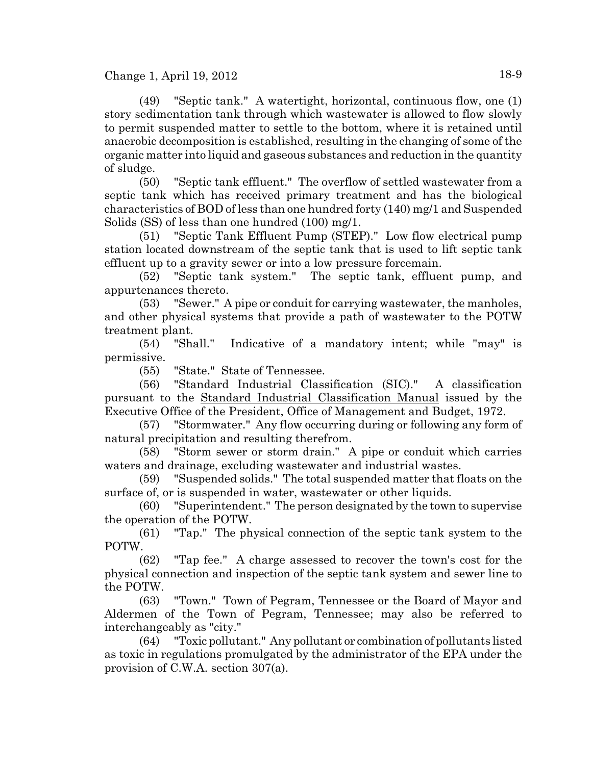Change 1, April 19, 2012 18-9

(49) "Septic tank." A watertight, horizontal, continuous flow, one (1) story sedimentation tank through which wastewater is allowed to flow slowly to permit suspended matter to settle to the bottom, where it is retained until anaerobic decomposition is established, resulting in the changing of some of the organic matter into liquid and gaseous substances and reduction in the quantity of sludge.

(50) "Septic tank effluent." The overflow of settled wastewater from a septic tank which has received primary treatment and has the biological characteristics of BOD of less than one hundred forty (140) mg/1 and Suspended Solids (SS) of less than one hundred (100) mg/1.

(51) "Septic Tank Effluent Pump (STEP)." Low flow electrical pump station located downstream of the septic tank that is used to lift septic tank effluent up to a gravity sewer or into a low pressure forcemain.

(52) "Septic tank system." The septic tank, effluent pump, and appurtenances thereto.

(53) "Sewer." A pipe or conduit for carrying wastewater, the manholes, and other physical systems that provide a path of wastewater to the POTW treatment plant.

(54) "Shall." Indicative of a mandatory intent; while "may" is permissive.

(55) "State." State of Tennessee.

(56) "Standard Industrial Classification (SIC)." A classification pursuant to the Standard Industrial Classification Manual issued by the Executive Office of the President, Office of Management and Budget, 1972.

(57) "Stormwater." Any flow occurring during or following any form of natural precipitation and resulting therefrom.

(58) "Storm sewer or storm drain." A pipe or conduit which carries waters and drainage, excluding wastewater and industrial wastes.

(59) "Suspended solids." The total suspended matter that floats on the surface of, or is suspended in water, wastewater or other liquids.

(60) "Superintendent." The person designated by the town to supervise the operation of the POTW.

(61) "Tap." The physical connection of the septic tank system to the POTW.

(62) "Tap fee." A charge assessed to recover the town's cost for the physical connection and inspection of the septic tank system and sewer line to the POTW.

(63) "Town." Town of Pegram, Tennessee or the Board of Mayor and Aldermen of the Town of Pegram, Tennessee; may also be referred to interchangeably as "city."

(64) "Toxic pollutant." Any pollutant or combination of pollutants listed as toxic in regulations promulgated by the administrator of the EPA under the provision of C.W.A. section 307(a).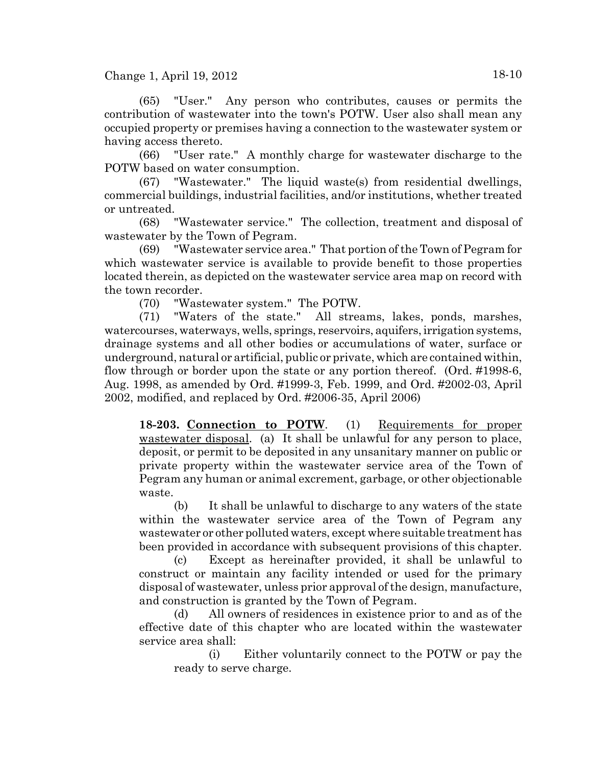$Change 1, April 19, 2012$  18-10

(65) "User." Any person who contributes, causes or permits the contribution of wastewater into the town's POTW. User also shall mean any occupied property or premises having a connection to the wastewater system or having access thereto.

(66) "User rate." A monthly charge for wastewater discharge to the POTW based on water consumption.

(67) "Wastewater." The liquid waste(s) from residential dwellings, commercial buildings, industrial facilities, and/or institutions, whether treated or untreated.

(68) "Wastewater service." The collection, treatment and disposal of wastewater by the Town of Pegram.

(69) "Wastewater service area." That portion of the Town of Pegram for which wastewater service is available to provide benefit to those properties located therein, as depicted on the wastewater service area map on record with the town recorder.

(70) "Wastewater system." The POTW.

(71) "Waters of the state." All streams, lakes, ponds, marshes, watercourses, waterways, wells, springs, reservoirs, aquifers, irrigation systems, drainage systems and all other bodies or accumulations of water, surface or underground, natural or artificial, public or private, which are contained within, flow through or border upon the state or any portion thereof. (Ord. #1998-6, Aug. 1998, as amended by Ord. #1999-3, Feb. 1999, and Ord. #2002-03, April 2002, modified, and replaced by Ord. #2006-35, April 2006)

**18-203. Connection to POTW**. (1) Requirements for proper wastewater disposal. (a) It shall be unlawful for any person to place, deposit, or permit to be deposited in any unsanitary manner on public or private property within the wastewater service area of the Town of Pegram any human or animal excrement, garbage, or other objectionable waste.

(b) It shall be unlawful to discharge to any waters of the state within the wastewater service area of the Town of Pegram any wastewater or other polluted waters, except where suitable treatment has been provided in accordance with subsequent provisions of this chapter.

(c) Except as hereinafter provided, it shall be unlawful to construct or maintain any facility intended or used for the primary disposal of wastewater, unless prior approval of the design, manufacture, and construction is granted by the Town of Pegram.

(d) All owners of residences in existence prior to and as of the effective date of this chapter who are located within the wastewater service area shall:

(i) Either voluntarily connect to the POTW or pay the ready to serve charge.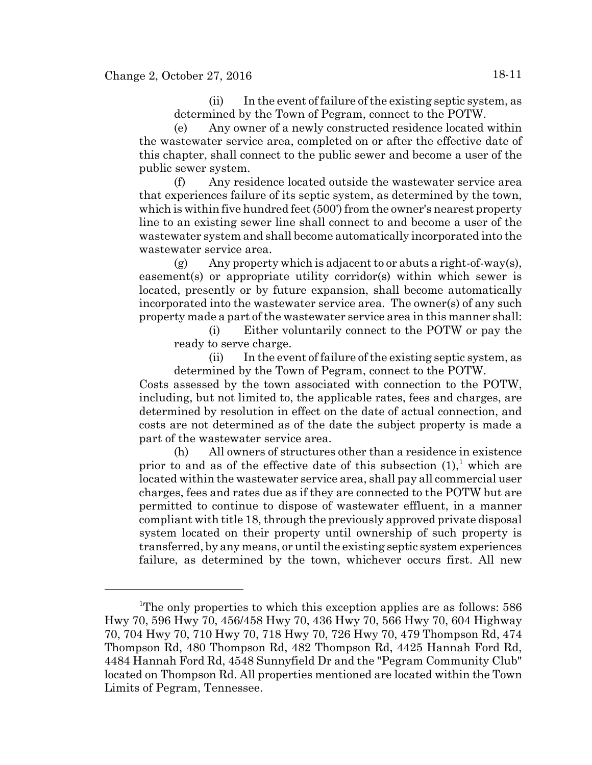(ii) In the event of failure of the existing septic system, as determined by the Town of Pegram, connect to the POTW.

(e) Any owner of a newly constructed residence located within the wastewater service area, completed on or after the effective date of this chapter, shall connect to the public sewer and become a user of the public sewer system.

(f) Any residence located outside the wastewater service area that experiences failure of its septic system, as determined by the town, which is within five hundred feet (500') from the owner's nearest property line to an existing sewer line shall connect to and become a user of the wastewater system and shall become automatically incorporated into the wastewater service area.

 $(g)$  Any property which is adjacent to or abuts a right-of-way(s), easement(s) or appropriate utility corridor(s) within which sewer is located, presently or by future expansion, shall become automatically incorporated into the wastewater service area. The owner(s) of any such property made a part of the wastewater service area in this manner shall:

(i) Either voluntarily connect to the POTW or pay the ready to serve charge.

(ii) In the event of failure of the existing septic system, as determined by the Town of Pegram, connect to the POTW.

Costs assessed by the town associated with connection to the POTW, including, but not limited to, the applicable rates, fees and charges, are determined by resolution in effect on the date of actual connection, and costs are not determined as of the date the subject property is made a part of the wastewater service area.

(h) All owners of structures other than a residence in existence prior to and as of the effective date of this subsection  $(1)$ , which are located within the wastewater service area, shall pay all commercial user charges, fees and rates due as if they are connected to the POTW but are permitted to continue to dispose of wastewater effluent, in a manner compliant with title 18, through the previously approved private disposal system located on their property until ownership of such property is transferred, by any means, or until the existing septic system experiences failure, as determined by the town, whichever occurs first. All new

<sup>&</sup>lt;sup>1</sup>The only properties to which this exception applies are as follows: 586 Hwy 70, 596 Hwy 70, 456/458 Hwy 70, 436 Hwy 70, 566 Hwy 70, 604 Highway 70, 704 Hwy 70, 710 Hwy 70, 718 Hwy 70, 726 Hwy 70, 479 Thompson Rd, 474 Thompson Rd, 480 Thompson Rd, 482 Thompson Rd, 4425 Hannah Ford Rd, 4484 Hannah Ford Rd, 4548 Sunnyfield Dr and the "Pegram Community Club" located on Thompson Rd. All properties mentioned are located within the Town Limits of Pegram, Tennessee.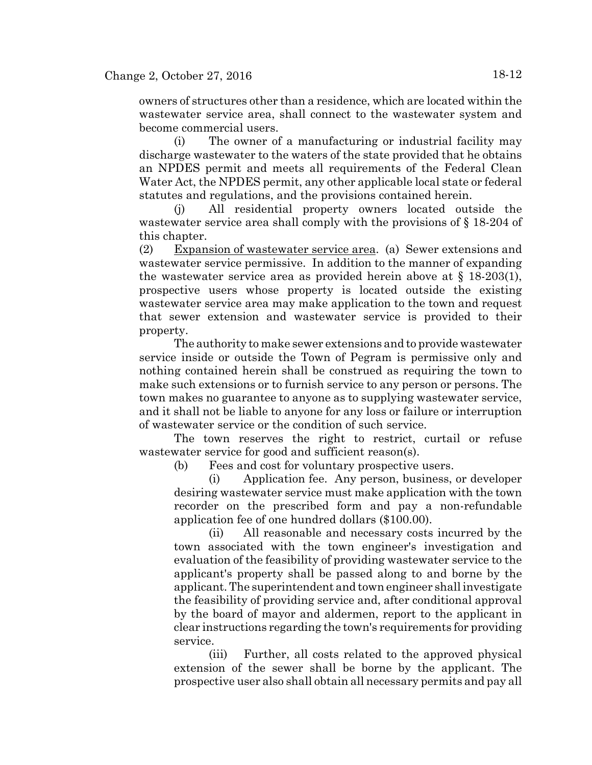owners of structures other than a residence, which are located within the wastewater service area, shall connect to the wastewater system and become commercial users.

(i) The owner of a manufacturing or industrial facility may discharge wastewater to the waters of the state provided that he obtains an NPDES permit and meets all requirements of the Federal Clean Water Act, the NPDES permit, any other applicable local state or federal statutes and regulations, and the provisions contained herein.

(j) All residential property owners located outside the wastewater service area shall comply with the provisions of § 18-204 of this chapter.

(2) Expansion of wastewater service area. (a) Sewer extensions and wastewater service permissive. In addition to the manner of expanding the wastewater service area as provided herein above at  $\S$  18-203(1), prospective users whose property is located outside the existing wastewater service area may make application to the town and request that sewer extension and wastewater service is provided to their property.

The authority to make sewer extensions and to provide wastewater service inside or outside the Town of Pegram is permissive only and nothing contained herein shall be construed as requiring the town to make such extensions or to furnish service to any person or persons. The town makes no guarantee to anyone as to supplying wastewater service, and it shall not be liable to anyone for any loss or failure or interruption of wastewater service or the condition of such service.

The town reserves the right to restrict, curtail or refuse wastewater service for good and sufficient reason(s).

(b) Fees and cost for voluntary prospective users.

(i) Application fee. Any person, business, or developer desiring wastewater service must make application with the town recorder on the prescribed form and pay a non-refundable application fee of one hundred dollars (\$100.00).

(ii) All reasonable and necessary costs incurred by the town associated with the town engineer's investigation and evaluation of the feasibility of providing wastewater service to the applicant's property shall be passed along to and borne by the applicant. The superintendent and town engineer shall investigate the feasibility of providing service and, after conditional approval by the board of mayor and aldermen, report to the applicant in clear instructions regarding the town's requirements for providing service.

(iii) Further, all costs related to the approved physical extension of the sewer shall be borne by the applicant. The prospective user also shall obtain all necessary permits and pay all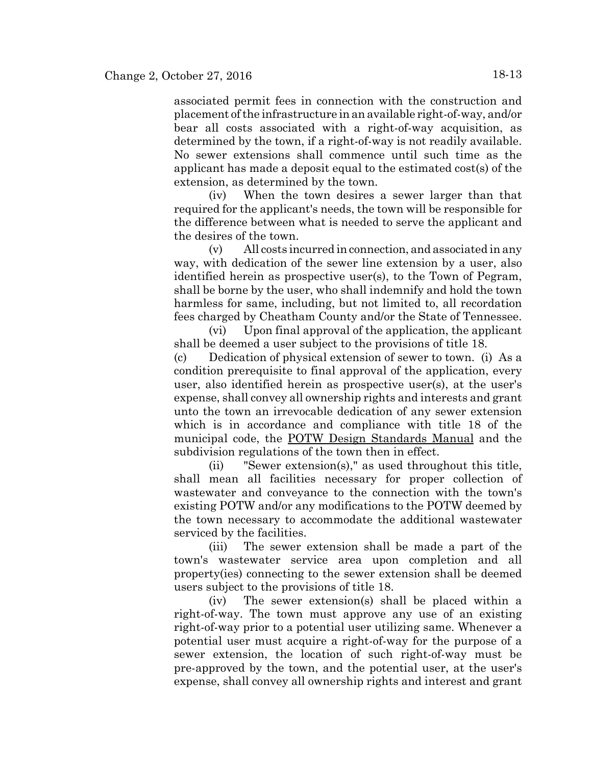associated permit fees in connection with the construction and placement of the infrastructure in an available right-of-way, and/or bear all costs associated with a right-of-way acquisition, as determined by the town, if a right-of-way is not readily available. No sewer extensions shall commence until such time as the applicant has made a deposit equal to the estimated cost(s) of the extension, as determined by the town.

(iv) When the town desires a sewer larger than that required for the applicant's needs, the town will be responsible for the difference between what is needed to serve the applicant and the desires of the town.

(v) All costs incurred in connection, and associated in any way, with dedication of the sewer line extension by a user, also identified herein as prospective user(s), to the Town of Pegram, shall be borne by the user, who shall indemnify and hold the town harmless for same, including, but not limited to, all recordation fees charged by Cheatham County and/or the State of Tennessee.

(vi) Upon final approval of the application, the applicant shall be deemed a user subject to the provisions of title 18.

(c) Dedication of physical extension of sewer to town. (i) As a condition prerequisite to final approval of the application, every user, also identified herein as prospective user(s), at the user's expense, shall convey all ownership rights and interests and grant unto the town an irrevocable dedication of any sewer extension which is in accordance and compliance with title 18 of the municipal code, the POTW Design Standards Manual and the subdivision regulations of the town then in effect.

(ii) "Sewer extension(s)," as used throughout this title, shall mean all facilities necessary for proper collection of wastewater and conveyance to the connection with the town's existing POTW and/or any modifications to the POTW deemed by the town necessary to accommodate the additional wastewater serviced by the facilities.

(iii) The sewer extension shall be made a part of the town's wastewater service area upon completion and all property(ies) connecting to the sewer extension shall be deemed users subject to the provisions of title 18.

(iv) The sewer extension(s) shall be placed within a right-of-way. The town must approve any use of an existing right-of-way prior to a potential user utilizing same. Whenever a potential user must acquire a right-of-way for the purpose of a sewer extension, the location of such right-of-way must be pre-approved by the town, and the potential user, at the user's expense, shall convey all ownership rights and interest and grant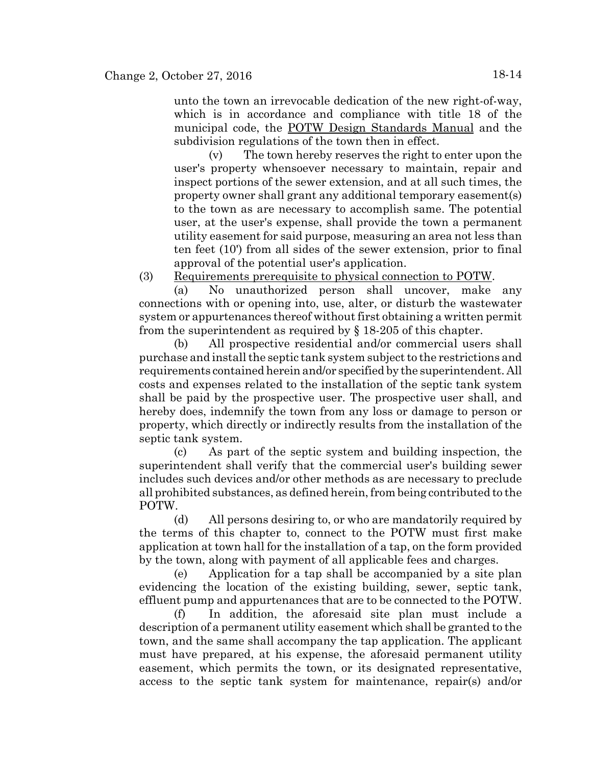unto the town an irrevocable dedication of the new right-of-way, which is in accordance and compliance with title 18 of the municipal code, the POTW Design Standards Manual and the subdivision regulations of the town then in effect.

(v) The town hereby reserves the right to enter upon the user's property whensoever necessary to maintain, repair and inspect portions of the sewer extension, and at all such times, the property owner shall grant any additional temporary easement(s) to the town as are necessary to accomplish same. The potential user, at the user's expense, shall provide the town a permanent utility easement for said purpose, measuring an area not less than ten feet (10') from all sides of the sewer extension, prior to final approval of the potential user's application.

(3) Requirements prerequisite to physical connection to POTW.

(a) No unauthorized person shall uncover, make any connections with or opening into, use, alter, or disturb the wastewater system or appurtenances thereof without first obtaining a written permit from the superintendent as required by § 18-205 of this chapter.

(b) All prospective residential and/or commercial users shall purchase and install the septic tank system subject to the restrictions and requirements contained herein and/or specified by the superintendent. All costs and expenses related to the installation of the septic tank system shall be paid by the prospective user. The prospective user shall, and hereby does, indemnify the town from any loss or damage to person or property, which directly or indirectly results from the installation of the septic tank system.

(c) As part of the septic system and building inspection, the superintendent shall verify that the commercial user's building sewer includes such devices and/or other methods as are necessary to preclude all prohibited substances, as defined herein, from being contributed to the POTW.

(d) All persons desiring to, or who are mandatorily required by the terms of this chapter to, connect to the POTW must first make application at town hall for the installation of a tap, on the form provided by the town, along with payment of all applicable fees and charges.

(e) Application for a tap shall be accompanied by a site plan evidencing the location of the existing building, sewer, septic tank, effluent pump and appurtenances that are to be connected to the POTW.

(f) In addition, the aforesaid site plan must include a description of a permanent utility easement which shall be granted to the town, and the same shall accompany the tap application. The applicant must have prepared, at his expense, the aforesaid permanent utility easement, which permits the town, or its designated representative, access to the septic tank system for maintenance, repair(s) and/or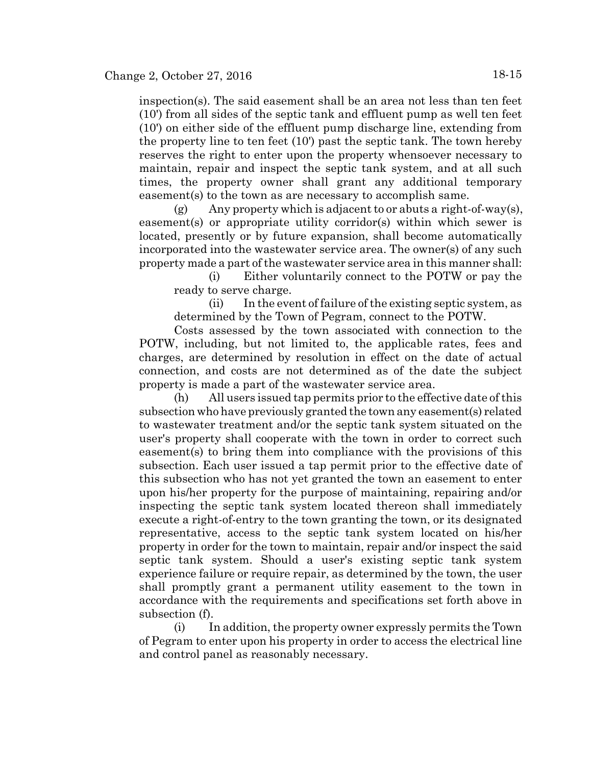inspection(s). The said easement shall be an area not less than ten feet (10') from all sides of the septic tank and effluent pump as well ten feet (10') on either side of the effluent pump discharge line, extending from the property line to ten feet (10') past the septic tank. The town hereby reserves the right to enter upon the property whensoever necessary to maintain, repair and inspect the septic tank system, and at all such times, the property owner shall grant any additional temporary easement(s) to the town as are necessary to accomplish same.

(g) Any property which is adjacent to or abuts a right-of-way(s), easement(s) or appropriate utility corridor(s) within which sewer is located, presently or by future expansion, shall become automatically incorporated into the wastewater service area. The owner(s) of any such property made a part of the wastewater service area in this manner shall:

(i) Either voluntarily connect to the POTW or pay the ready to serve charge.

(ii) In the event of failure of the existing septic system, as determined by the Town of Pegram, connect to the POTW.

Costs assessed by the town associated with connection to the POTW, including, but not limited to, the applicable rates, fees and charges, are determined by resolution in effect on the date of actual connection, and costs are not determined as of the date the subject property is made a part of the wastewater service area.

(h) All users issued tap permits prior to the effective date of this subsection who have previously granted the town any easement(s) related to wastewater treatment and/or the septic tank system situated on the user's property shall cooperate with the town in order to correct such easement(s) to bring them into compliance with the provisions of this subsection. Each user issued a tap permit prior to the effective date of this subsection who has not yet granted the town an easement to enter upon his/her property for the purpose of maintaining, repairing and/or inspecting the septic tank system located thereon shall immediately execute a right-of-entry to the town granting the town, or its designated representative, access to the septic tank system located on his/her property in order for the town to maintain, repair and/or inspect the said septic tank system. Should a user's existing septic tank system experience failure or require repair, as determined by the town, the user shall promptly grant a permanent utility easement to the town in accordance with the requirements and specifications set forth above in subsection (f).

(i) In addition, the property owner expressly permits the Town of Pegram to enter upon his property in order to access the electrical line and control panel as reasonably necessary.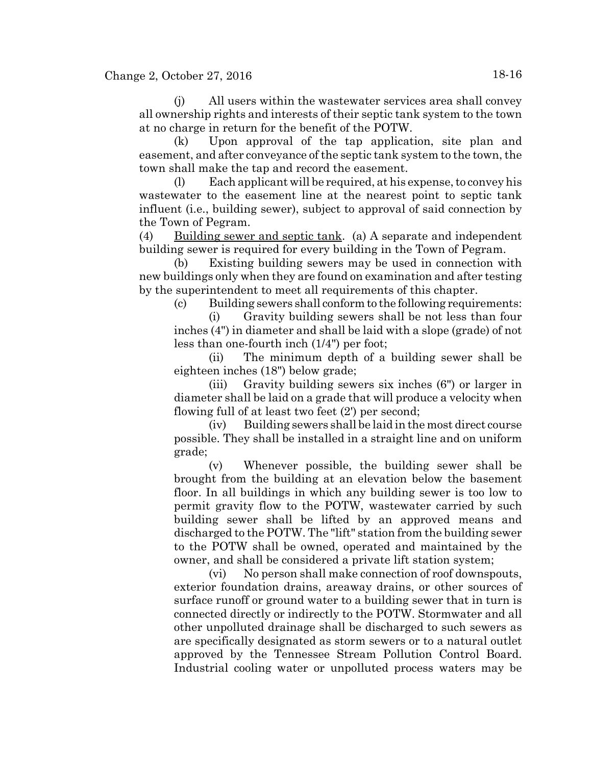(j) All users within the wastewater services area shall convey all ownership rights and interests of their septic tank system to the town at no charge in return for the benefit of the POTW.

(k) Upon approval of the tap application, site plan and easement, and after conveyance of the septic tank system to the town, the town shall make the tap and record the easement.

(l) Each applicant will be required, at his expense, to convey his wastewater to the easement line at the nearest point to septic tank influent (i.e., building sewer), subject to approval of said connection by the Town of Pegram.

(4) Building sewer and septic tank. (a) A separate and independent building sewer is required for every building in the Town of Pegram.

(b) Existing building sewers may be used in connection with new buildings only when they are found on examination and after testing by the superintendent to meet all requirements of this chapter.

(c) Building sewers shall conform to the following requirements:

(i) Gravity building sewers shall be not less than four inches (4") in diameter and shall be laid with a slope (grade) of not less than one-fourth inch (1/4") per foot;

(ii) The minimum depth of a building sewer shall be eighteen inches (18") below grade;

(iii) Gravity building sewers six inches (6") or larger in diameter shall be laid on a grade that will produce a velocity when flowing full of at least two feet (2') per second;

(iv) Building sewers shall be laid in the most direct course possible. They shall be installed in a straight line and on uniform grade;

(v) Whenever possible, the building sewer shall be brought from the building at an elevation below the basement floor. In all buildings in which any building sewer is too low to permit gravity flow to the POTW, wastewater carried by such building sewer shall be lifted by an approved means and discharged to the POTW. The "lift" station from the building sewer to the POTW shall be owned, operated and maintained by the owner, and shall be considered a private lift station system;

(vi) No person shall make connection of roof downspouts, exterior foundation drains, areaway drains, or other sources of surface runoff or ground water to a building sewer that in turn is connected directly or indirectly to the POTW. Stormwater and all other unpolluted drainage shall be discharged to such sewers as are specifically designated as storm sewers or to a natural outlet approved by the Tennessee Stream Pollution Control Board. Industrial cooling water or unpolluted process waters may be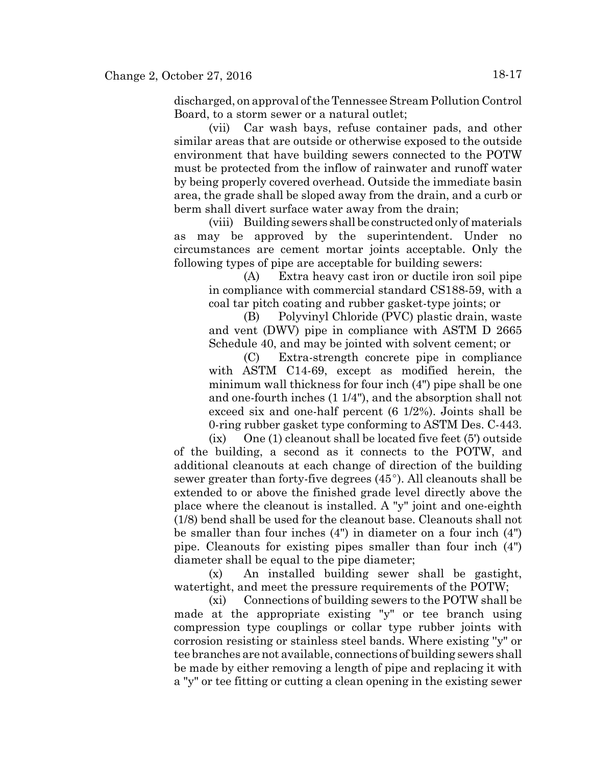discharged, on approval of the Tennessee Stream Pollution Control Board, to a storm sewer or a natural outlet;

(vii) Car wash bays, refuse container pads, and other similar areas that are outside or otherwise exposed to the outside environment that have building sewers connected to the POTW must be protected from the inflow of rainwater and runoff water by being properly covered overhead. Outside the immediate basin area, the grade shall be sloped away from the drain, and a curb or berm shall divert surface water away from the drain;

(viii) Building sewers shall be constructed only of materials as may be approved by the superintendent. Under no circumstances are cement mortar joints acceptable. Only the following types of pipe are acceptable for building sewers:

(A) Extra heavy cast iron or ductile iron soil pipe in compliance with commercial standard CS188-59, with a coal tar pitch coating and rubber gasket-type joints; or

(B) Polyvinyl Chloride (PVC) plastic drain, waste and vent (DWV) pipe in compliance with ASTM D 2665 Schedule 40, and may be jointed with solvent cement; or

(C) Extra-strength concrete pipe in compliance with ASTM C14-69, except as modified herein, the minimum wall thickness for four inch (4") pipe shall be one and one-fourth inches (1 1/4"), and the absorption shall not exceed six and one-half percent (6 1/2%). Joints shall be 0-ring rubber gasket type conforming to ASTM Des. C-443.

(ix) One (1) cleanout shall be located five feet (5') outside of the building, a second as it connects to the POTW, and additional cleanouts at each change of direction of the building sewer greater than forty-five degrees  $(45^{\circ})$ . All cleanouts shall be extended to or above the finished grade level directly above the place where the cleanout is installed. A "y" joint and one-eighth (1/8) bend shall be used for the cleanout base. Cleanouts shall not be smaller than four inches (4") in diameter on a four inch (4") pipe. Cleanouts for existing pipes smaller than four inch (4") diameter shall be equal to the pipe diameter;

(x) An installed building sewer shall be gastight, watertight, and meet the pressure requirements of the POTW;

(xi) Connections of building sewers to the POTW shall be made at the appropriate existing "y" or tee branch using compression type couplings or collar type rubber joints with corrosion resisting or stainless steel bands. Where existing ''y" or tee branches are not available, connections of building sewers shall be made by either removing a length of pipe and replacing it with a "y" or tee fitting or cutting a clean opening in the existing sewer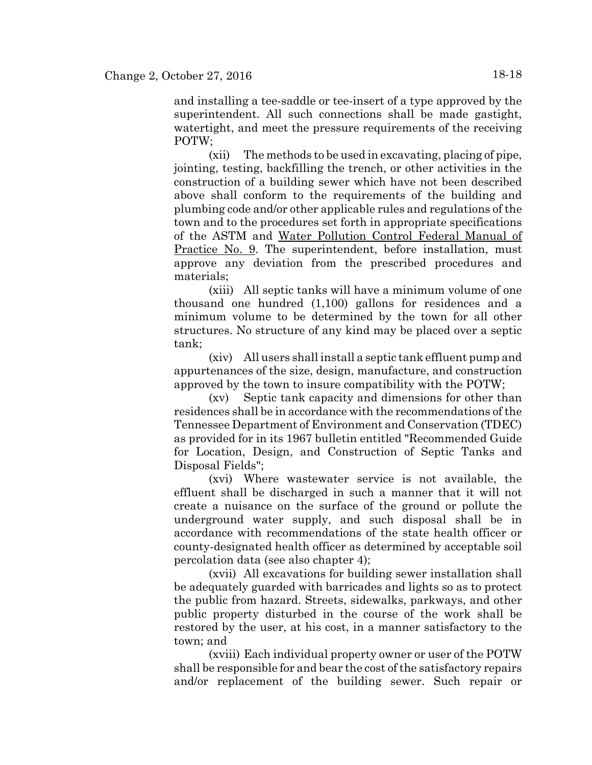and installing a tee-saddle or tee-insert of a type approved by the superintendent. All such connections shall be made gastight, watertight, and meet the pressure requirements of the receiving POTW;

(xii) The methods to be used in excavating, placing of pipe, jointing, testing, backfilling the trench, or other activities in the construction of a building sewer which have not been described above shall conform to the requirements of the building and plumbing code and/or other applicable rules and regulations of the town and to the procedures set forth in appropriate specifications of the ASTM and Water Pollution Control Federal Manual of Practice No. 9. The superintendent, before installation, must approve any deviation from the prescribed procedures and materials;

(xiii) All septic tanks will have a minimum volume of one thousand one hundred (1,100) gallons for residences and a minimum volume to be determined by the town for all other structures. No structure of any kind may be placed over a septic tank;

(xiv) All users shall install a septic tank effluent pump and appurtenances of the size, design, manufacture, and construction approved by the town to insure compatibility with the POTW;

(xv) Septic tank capacity and dimensions for other than residences shall be in accordance with the recommendations of the Tennessee Department of Environment and Conservation (TDEC) as provided for in its 1967 bulletin entitled "Recommended Guide for Location, Design, and Construction of Septic Tanks and Disposal Fields";

(xvi) Where wastewater service is not available, the effluent shall be discharged in such a manner that it will not create a nuisance on the surface of the ground or pollute the underground water supply, and such disposal shall be in accordance with recommendations of the state health officer or county-designated health officer as determined by acceptable soil percolation data (see also chapter 4);

(xvii) All excavations for building sewer installation shall be adequately guarded with barricades and lights so as to protect the public from hazard. Streets, sidewalks, parkways, and other public property disturbed in the course of the work shall be restored by the user, at his cost, in a manner satisfactory to the town; and

(xviii) Each individual property owner or user of the POTW shall be responsible for and bear the cost of the satisfactory repairs and/or replacement of the building sewer. Such repair or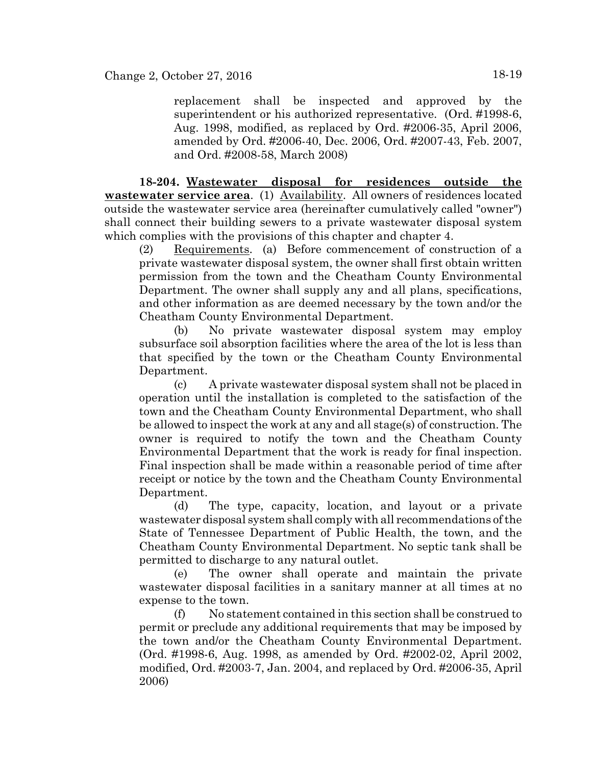replacement shall be inspected and approved by the superintendent or his authorized representative. (Ord. #1998-6, Aug. 1998, modified, as replaced by Ord. #2006-35, April 2006, amended by Ord. #2006-40, Dec. 2006, Ord. #2007-43, Feb. 2007, and Ord. #2008-58, March 2008)

**18-204. Wastewater disposal for residences outside the wastewater service area**. (1) Availability. All owners of residences located outside the wastewater service area (hereinafter cumulatively called "owner") shall connect their building sewers to a private wastewater disposal system which complies with the provisions of this chapter and chapter 4.

(2) Requirements. (a) Before commencement of construction of a private wastewater disposal system, the owner shall first obtain written permission from the town and the Cheatham County Environmental Department. The owner shall supply any and all plans, specifications, and other information as are deemed necessary by the town and/or the Cheatham County Environmental Department.

(b) No private wastewater disposal system may employ subsurface soil absorption facilities where the area of the lot is less than that specified by the town or the Cheatham County Environmental Department.

(c) A private wastewater disposal system shall not be placed in operation until the installation is completed to the satisfaction of the town and the Cheatham County Environmental Department, who shall be allowed to inspect the work at any and all stage(s) of construction. The owner is required to notify the town and the Cheatham County Environmental Department that the work is ready for final inspection. Final inspection shall be made within a reasonable period of time after receipt or notice by the town and the Cheatham County Environmental Department.

(d) The type, capacity, location, and layout or a private wastewater disposal system shall comply with all recommendations of the State of Tennessee Department of Public Health, the town, and the Cheatham County Environmental Department. No septic tank shall be permitted to discharge to any natural outlet.

(e) The owner shall operate and maintain the private wastewater disposal facilities in a sanitary manner at all times at no expense to the town.

(f) No statement contained in this section shall be construed to permit or preclude any additional requirements that may be imposed by the town and/or the Cheatham County Environmental Department. (Ord. #1998-6, Aug. 1998, as amended by Ord. #2002-02, April 2002, modified, Ord. #2003-7, Jan. 2004, and replaced by Ord. #2006-35, April 2006)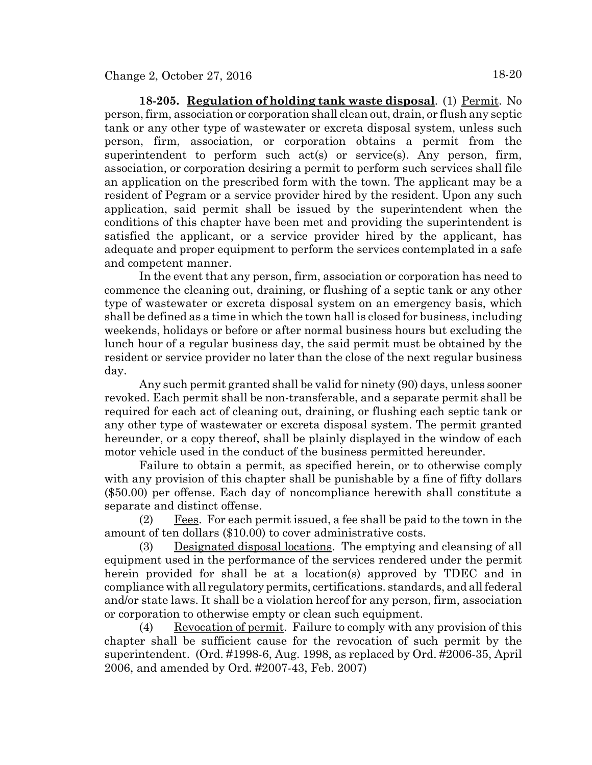**18-205. Regulation of holding tank waste disposal**. (1) Permit. No person, firm, association or corporation shall clean out, drain, or flush any septic tank or any other type of wastewater or excreta disposal system, unless such person, firm, association, or corporation obtains a permit from the superintendent to perform such act(s) or service(s). Any person, firm, association, or corporation desiring a permit to perform such services shall file an application on the prescribed form with the town. The applicant may be a resident of Pegram or a service provider hired by the resident. Upon any such application, said permit shall be issued by the superintendent when the conditions of this chapter have been met and providing the superintendent is satisfied the applicant, or a service provider hired by the applicant, has adequate and proper equipment to perform the services contemplated in a safe and competent manner.

In the event that any person, firm, association or corporation has need to commence the cleaning out, draining, or flushing of a septic tank or any other type of wastewater or excreta disposal system on an emergency basis, which shall be defined as a time in which the town hall is closed for business, including weekends, holidays or before or after normal business hours but excluding the lunch hour of a regular business day, the said permit must be obtained by the resident or service provider no later than the close of the next regular business day.

Any such permit granted shall be valid for ninety (90) days, unless sooner revoked. Each permit shall be non-transferable, and a separate permit shall be required for each act of cleaning out, draining, or flushing each septic tank or any other type of wastewater or excreta disposal system. The permit granted hereunder, or a copy thereof, shall be plainly displayed in the window of each motor vehicle used in the conduct of the business permitted hereunder.

Failure to obtain a permit, as specified herein, or to otherwise comply with any provision of this chapter shall be punishable by a fine of fifty dollars (\$50.00) per offense. Each day of noncompliance herewith shall constitute a separate and distinct offense.

(2) Fees. For each permit issued, a fee shall be paid to the town in the amount of ten dollars (\$10.00) to cover administrative costs.

(3) Designated disposal locations. The emptying and cleansing of all equipment used in the performance of the services rendered under the permit herein provided for shall be at a location(s) approved by TDEC and in compliance with all regulatory permits, certifications. standards, and all federal and/or state laws. It shall be a violation hereof for any person, firm, association or corporation to otherwise empty or clean such equipment.

(4) Revocation of permit. Failure to comply with any provision of this chapter shall be sufficient cause for the revocation of such permit by the superintendent. (Ord. #1998-6, Aug. 1998, as replaced by Ord. #2006-35, April 2006, and amended by Ord. #2007-43, Feb. 2007)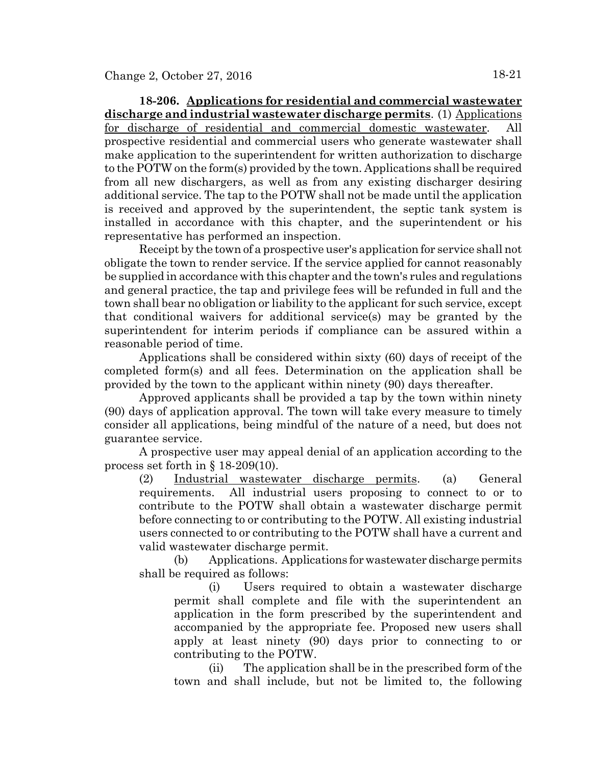**18-206. Applications for residential and commercial wastewater discharge and industrial wastewater discharge permits**. (1) Applications for discharge of residential and commercial domestic wastewater. All prospective residential and commercial users who generate wastewater shall make application to the superintendent for written authorization to discharge to the POTW on the form(s) provided by the town. Applications shall be required from all new dischargers, as well as from any existing discharger desiring additional service. The tap to the POTW shall not be made until the application is received and approved by the superintendent, the septic tank system is installed in accordance with this chapter, and the superintendent or his representative has performed an inspection.

Receipt by the town of a prospective user's application for service shall not obligate the town to render service. If the service applied for cannot reasonably be supplied in accordance with this chapter and the town's rules and regulations and general practice, the tap and privilege fees will be refunded in full and the town shall bear no obligation or liability to the applicant for such service, except that conditional waivers for additional service(s) may be granted by the superintendent for interim periods if compliance can be assured within a reasonable period of time.

Applications shall be considered within sixty (60) days of receipt of the completed form(s) and all fees. Determination on the application shall be provided by the town to the applicant within ninety (90) days thereafter.

Approved applicants shall be provided a tap by the town within ninety (90) days of application approval. The town will take every measure to timely consider all applications, being mindful of the nature of a need, but does not guarantee service.

A prospective user may appeal denial of an application according to the process set forth in § 18-209(10).

(2) Industrial wastewater discharge permits. (a) General requirements. All industrial users proposing to connect to or to contribute to the POTW shall obtain a wastewater discharge permit before connecting to or contributing to the POTW. All existing industrial users connected to or contributing to the POTW shall have a current and valid wastewater discharge permit.

(b) Applications. Applications for wastewater discharge permits shall be required as follows:

(i) Users required to obtain a wastewater discharge permit shall complete and file with the superintendent an application in the form prescribed by the superintendent and accompanied by the appropriate fee. Proposed new users shall apply at least ninety (90) days prior to connecting to or contributing to the POTW.

(ii) The application shall be in the prescribed form of the town and shall include, but not be limited to, the following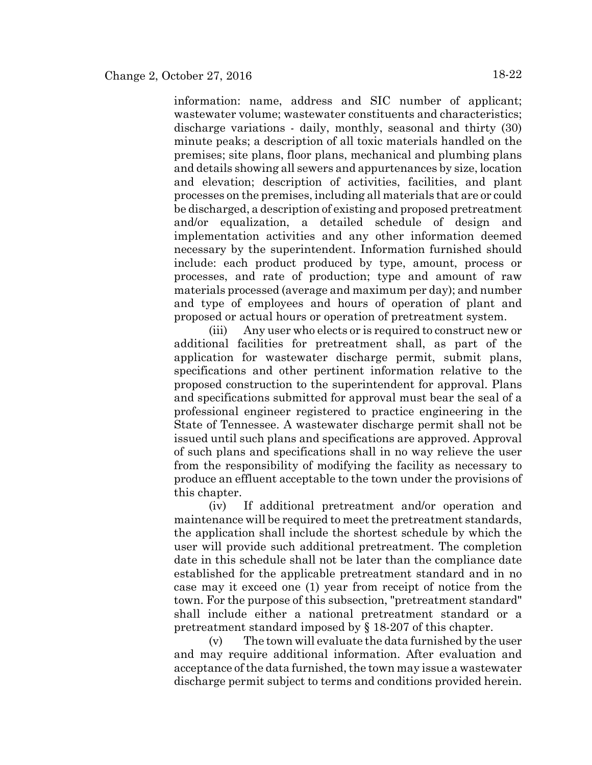information: name, address and SIC number of applicant; wastewater volume; wastewater constituents and characteristics; discharge variations - daily, monthly, seasonal and thirty (30) minute peaks; a description of all toxic materials handled on the premises; site plans, floor plans, mechanical and plumbing plans and details showing all sewers and appurtenances by size, location and elevation; description of activities, facilities, and plant processes on the premises, including all materials that are or could be discharged, a description of existing and proposed pretreatment and/or equalization, a detailed schedule of design and implementation activities and any other information deemed necessary by the superintendent. Information furnished should include: each product produced by type, amount, process or processes, and rate of production; type and amount of raw materials processed (average and maximum per day); and number and type of employees and hours of operation of plant and proposed or actual hours or operation of pretreatment system.

(iii) Any user who elects or is required to construct new or additional facilities for pretreatment shall, as part of the application for wastewater discharge permit, submit plans, specifications and other pertinent information relative to the proposed construction to the superintendent for approval. Plans and specifications submitted for approval must bear the seal of a professional engineer registered to practice engineering in the State of Tennessee. A wastewater discharge permit shall not be issued until such plans and specifications are approved. Approval of such plans and specifications shall in no way relieve the user from the responsibility of modifying the facility as necessary to produce an effluent acceptable to the town under the provisions of this chapter.

(iv) If additional pretreatment and/or operation and maintenance will be required to meet the pretreatment standards, the application shall include the shortest schedule by which the user will provide such additional pretreatment. The completion date in this schedule shall not be later than the compliance date established for the applicable pretreatment standard and in no case may it exceed one (1) year from receipt of notice from the town. For the purpose of this subsection, "pretreatment standard" shall include either a national pretreatment standard or a pretreatment standard imposed by § 18-207 of this chapter.

(v) The town will evaluate the data furnished by the user and may require additional information. After evaluation and acceptance of the data furnished, the town may issue a wastewater discharge permit subject to terms and conditions provided herein.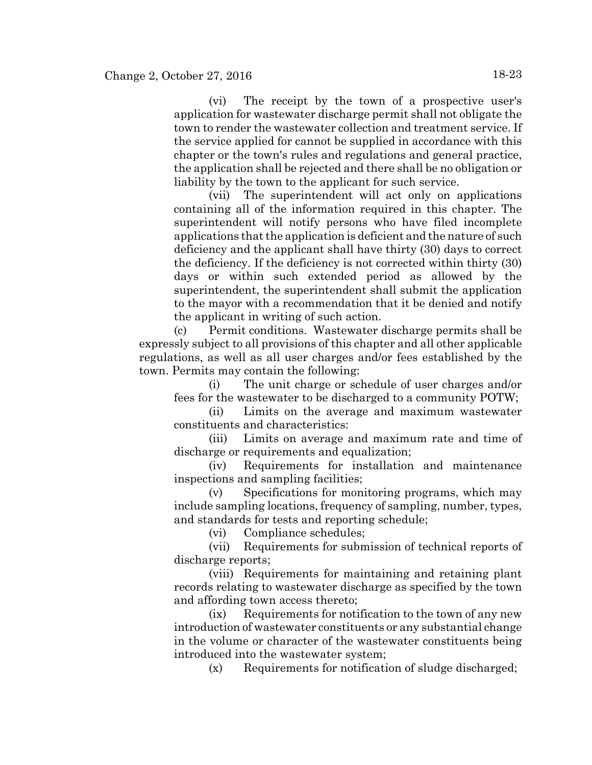(vi) The receipt by the town of a prospective user's application for wastewater discharge permit shall not obligate the town to render the wastewater collection and treatment service. If the service applied for cannot be supplied in accordance with this chapter or the town's rules and regulations and general practice, the application shall be rejected and there shall be no obligation or liability by the town to the applicant for such service.

(vii) The superintendent will act only on applications containing all of the information required in this chapter. The superintendent will notify persons who have filed incomplete applications that the application is deficient and the nature of such deficiency and the applicant shall have thirty (30) days to correct the deficiency. If the deficiency is not corrected within thirty (30) days or within such extended period as allowed by the superintendent, the superintendent shall submit the application to the mayor with a recommendation that it be denied and notify the applicant in writing of such action.

(c) Permit conditions. Wastewater discharge permits shall be expressly subject to all provisions of this chapter and all other applicable regulations, as well as all user charges and/or fees established by the town. Permits may contain the following:

(i) The unit charge or schedule of user charges and/or fees for the wastewater to be discharged to a community POTW;

(ii) Limits on the average and maximum wastewater constituents and characteristics:

(iii) Limits on average and maximum rate and time of discharge or requirements and equalization;

(iv) Requirements for installation and maintenance inspections and sampling facilities;

(v) Specifications for monitoring programs, which may include sampling locations, frequency of sampling, number, types, and standards for tests and reporting schedule;

(vi) Compliance schedules;

(vii) Requirements for submission of technical reports of discharge reports;

(viii) Requirements for maintaining and retaining plant records relating to wastewater discharge as specified by the town and affording town access thereto;

(ix) Requirements for notification to the town of any new introduction of wastewater constituents or any substantial change in the volume or character of the wastewater constituents being introduced into the wastewater system;

(x) Requirements for notification of sludge discharged;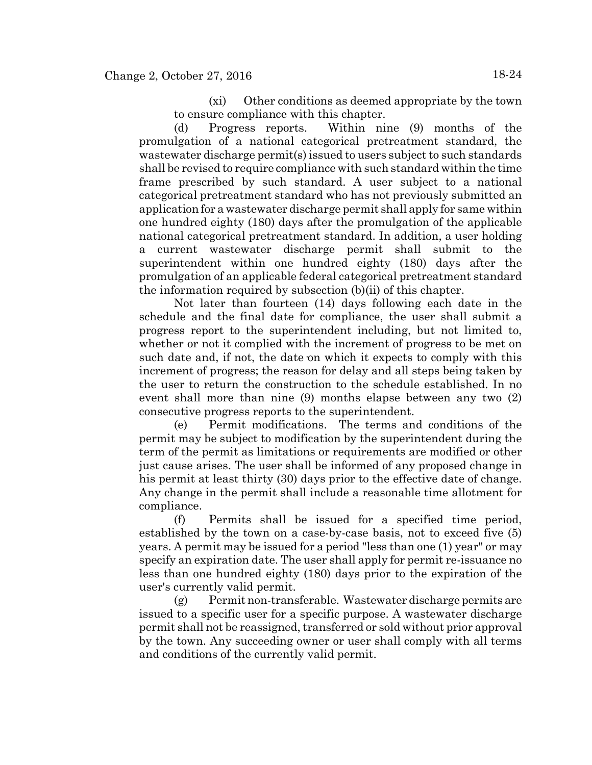(xi) Other conditions as deemed appropriate by the town to ensure compliance with this chapter.

(d) Progress reports. Within nine (9) months of the promulgation of a national categorical pretreatment standard, the wastewater discharge permit(s) issued to users subject to such standards shall be revised to require compliance with such standard within the time frame prescribed by such standard. A user subject to a national categorical pretreatment standard who has not previously submitted an application for a wastewater discharge permit shall apply for same within one hundred eighty (180) days after the promulgation of the applicable national categorical pretreatment standard. In addition, a user holding a current wastewater discharge permit shall submit to the superintendent within one hundred eighty (180) days after the promulgation of an applicable federal categorical pretreatment standard the information required by subsection (b)(ii) of this chapter.

Not later than fourteen (14) days following each date in the schedule and the final date for compliance, the user shall submit a progress report to the superintendent including, but not limited to, whether or not it complied with the increment of progress to be met on such date and, if not, the date on which it expects to comply with this increment of progress; the reason for delay and all steps being taken by the user to return the construction to the schedule established. In no event shall more than nine (9) months elapse between any two (2) consecutive progress reports to the superintendent.

(e) Permit modifications. The terms and conditions of the permit may be subject to modification by the superintendent during the term of the permit as limitations or requirements are modified or other just cause arises. The user shall be informed of any proposed change in his permit at least thirty (30) days prior to the effective date of change. Any change in the permit shall include a reasonable time allotment for compliance.

(f) Permits shall be issued for a specified time period, established by the town on a case-by-case basis, not to exceed five (5) years. A permit may be issued for a period "less than one (1) year" or may specify an expiration date. The user shall apply for permit re-issuance no less than one hundred eighty (180) days prior to the expiration of the user's currently valid permit.

(g) Permit non-transferable. Wastewater discharge permits are issued to a specific user for a specific purpose. A wastewater discharge permit shall not be reassigned, transferred or sold without prior approval by the town. Any succeeding owner or user shall comply with all terms and conditions of the currently valid permit.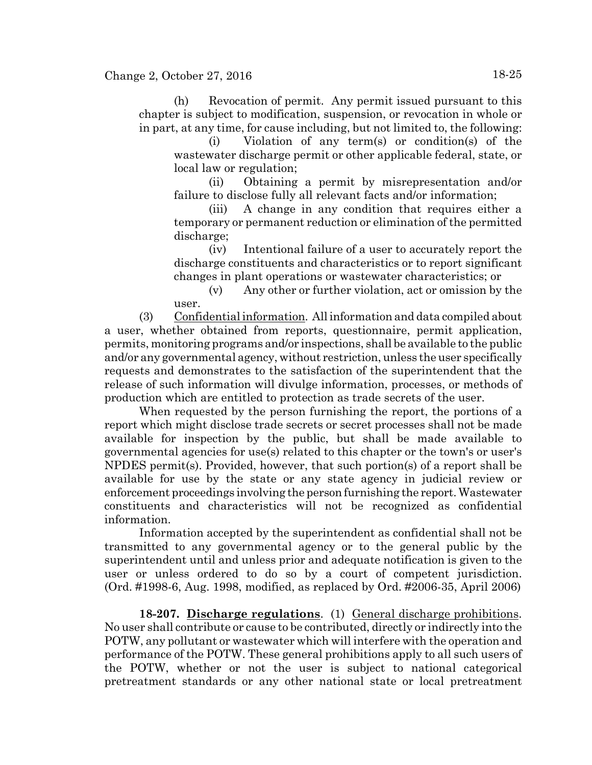# Change 2, October 27, 2016 18-25

(h) Revocation of permit. Any permit issued pursuant to this chapter is subject to modification, suspension, or revocation in whole or in part, at any time, for cause including, but not limited to, the following:

(i) Violation of any term(s) or condition(s) of the wastewater discharge permit or other applicable federal, state, or local law or regulation;

(ii) Obtaining a permit by misrepresentation and/or failure to disclose fully all relevant facts and/or information;

(iii) A change in any condition that requires either a temporary or permanent reduction or elimination of the permitted discharge;

(iv) Intentional failure of a user to accurately report the discharge constituents and characteristics or to report significant changes in plant operations or wastewater characteristics; or

(v) Any other or further violation, act or omission by the user.

(3) Confidential information. All information and data compiled about a user, whether obtained from reports, questionnaire, permit application, permits, monitoring programs and/or inspections, shall be available to the public and/or any governmental agency, without restriction, unless the user specifically requests and demonstrates to the satisfaction of the superintendent that the release of such information will divulge information, processes, or methods of production which are entitled to protection as trade secrets of the user.

When requested by the person furnishing the report, the portions of a report which might disclose trade secrets or secret processes shall not be made available for inspection by the public, but shall be made available to governmental agencies for use(s) related to this chapter or the town's or user's NPDES permit(s). Provided, however, that such portion(s) of a report shall be available for use by the state or any state agency in judicial review or enforcement proceedings involving the person furnishing the report. Wastewater constituents and characteristics will not be recognized as confidential information.

Information accepted by the superintendent as confidential shall not be transmitted to any governmental agency or to the general public by the superintendent until and unless prior and adequate notification is given to the user or unless ordered to do so by a court of competent jurisdiction. (Ord. #1998-6, Aug. 1998, modified, as replaced by Ord. #2006-35, April 2006)

**18-207. Discharge regulations**. (1) General discharge prohibitions. No user shall contribute or cause to be contributed, directly or indirectly into the POTW, any pollutant or wastewater which will interfere with the operation and performance of the POTW. These general prohibitions apply to all such users of the POTW, whether or not the user is subject to national categorical pretreatment standards or any other national state or local pretreatment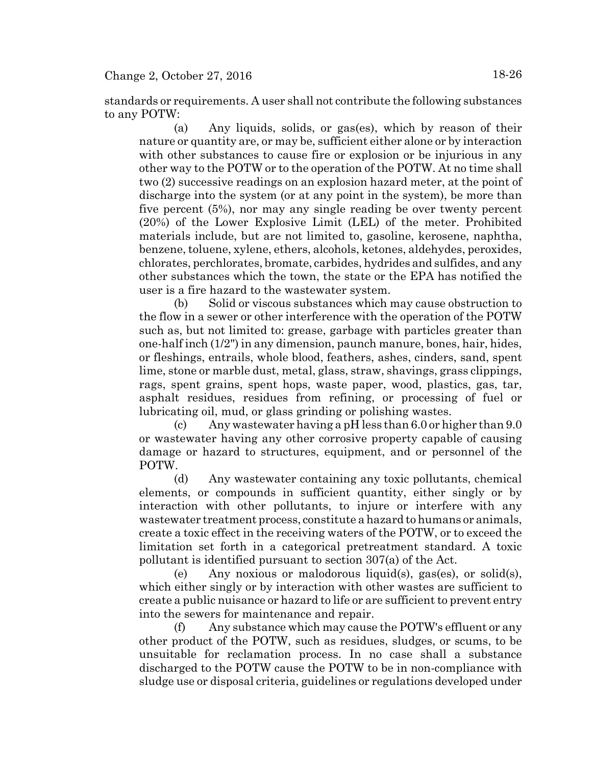standards or requirements. A user shall not contribute the following substances to any POTW:

(a) Any liquids, solids, or gas(es), which by reason of their nature or quantity are, or may be, sufficient either alone or by interaction with other substances to cause fire or explosion or be injurious in any other way to the POTW or to the operation of the POTW. At no time shall two (2) successive readings on an explosion hazard meter, at the point of discharge into the system (or at any point in the system), be more than five percent (5%), nor may any single reading be over twenty percent (20%) of the Lower Explosive Limit (LEL) of the meter. Prohibited materials include, but are not limited to, gasoline, kerosene, naphtha, benzene, toluene, xylene, ethers, alcohols, ketones, aldehydes, peroxides, chlorates, perchlorates, bromate, carbides, hydrides and sulfides, and any other substances which the town, the state or the EPA has notified the user is a fire hazard to the wastewater system.

(b) Solid or viscous substances which may cause obstruction to the flow in a sewer or other interference with the operation of the POTW such as, but not limited to: grease, garbage with particles greater than one-half inch (1/2") in any dimension, paunch manure, bones, hair, hides, or fleshings, entrails, whole blood, feathers, ashes, cinders, sand, spent lime, stone or marble dust, metal, glass, straw, shavings, grass clippings, rags, spent grains, spent hops, waste paper, wood, plastics, gas, tar, asphalt residues, residues from refining, or processing of fuel or lubricating oil, mud, or glass grinding or polishing wastes.

(c) Any wastewater having a pH less than 6.0 or higher than 9.0 or wastewater having any other corrosive property capable of causing damage or hazard to structures, equipment, and or personnel of the POTW.

(d) Any wastewater containing any toxic pollutants, chemical elements, or compounds in sufficient quantity, either singly or by interaction with other pollutants, to injure or interfere with any wastewater treatment process, constitute a hazard to humans or animals, create a toxic effect in the receiving waters of the POTW, or to exceed the limitation set forth in a categorical pretreatment standard. A toxic pollutant is identified pursuant to section 307(a) of the Act.

(e) Any noxious or malodorous liquid(s), gas(es), or solid(s), which either singly or by interaction with other wastes are sufficient to create a public nuisance or hazard to life or are sufficient to prevent entry into the sewers for maintenance and repair.

(f) Any substance which may cause the POTW's effluent or any other product of the POTW, such as residues, sludges, or scums, to be unsuitable for reclamation process. In no case shall a substance discharged to the POTW cause the POTW to be in non-compliance with sludge use or disposal criteria, guidelines or regulations developed under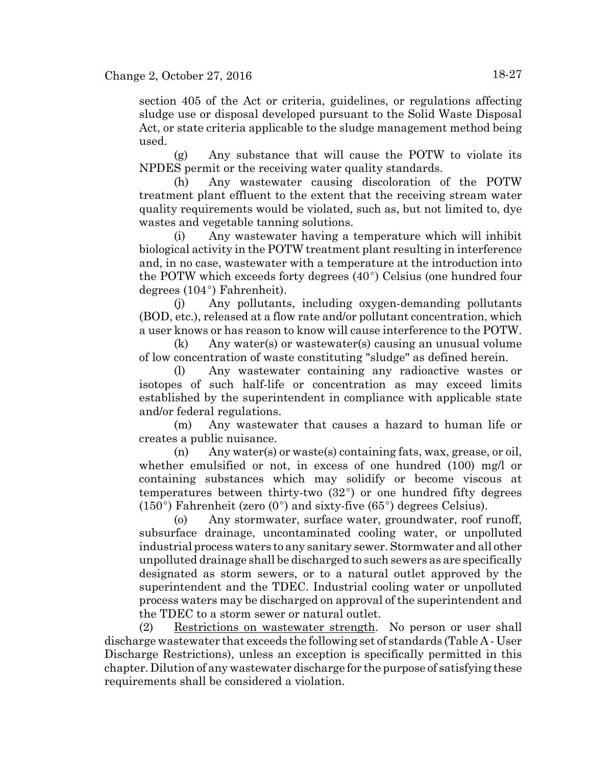section 405 of the Act or criteria, guidelines, or regulations affecting sludge use or disposal developed pursuant to the Solid Waste Disposal Act, or state criteria applicable to the sludge management method being used.

(g) Any substance that will cause the POTW to violate its NPDES permit or the receiving water quality standards.

(h) Any wastewater causing discoloration of the POTW treatment plant effluent to the extent that the receiving stream water quality requirements would be violated, such as, but not limited to, dye wastes and vegetable tanning solutions.

(i) Any wastewater having a temperature which will inhibit biological activity in the POTW treatment plant resulting in interference and, in no case, wastewater with a temperature at the introduction into the POTW which exceeds forty degrees  $(40^{\circ})$  Celsius (one hundred four degrees  $(104^{\circ})$  Fahrenheit).

(j) Any pollutants, including oxygen-demanding pollutants (BOD, etc.), released at a flow rate and/or pollutant concentration, which a user knows or has reason to know will cause interference to the POTW.

(k) Any water(s) or wastewater(s) causing an unusual volume of low concentration of waste constituting "sludge" as defined herein.

(l) Any wastewater containing any radioactive wastes or isotopes of such half-life or concentration as may exceed limits established by the superintendent in compliance with applicable state and/or federal regulations.

(m) Any wastewater that causes a hazard to human life or creates a public nuisance.

(n) Any water(s) or waste(s) containing fats, wax, grease, or oil, whether emulsified or not, in excess of one hundred (100) mg/l or containing substances which may solidify or become viscous at temperatures between thirty-two  $(32^{\circ})$  or one hundred fifty degrees  $(150^{\circ})$  Fahrenheit (zero  $(0^{\circ})$  and sixty-five  $(65^{\circ})$  degrees Celsius).

(o) Any stormwater, surface water, groundwater, roof runoff, subsurface drainage, uncontaminated cooling water, or unpolluted industrial process waters to any sanitary sewer. Stormwater and all other unpolluted drainage shall be discharged to such sewers as are specifically designated as storm sewers, or to a natural outlet approved by the superintendent and the TDEC. Industrial cooling water or unpolluted process waters may be discharged on approval of the superintendent and the TDEC to a storm sewer or natural outlet.

(2) Restrictions on wastewater strength. No person or user shall discharge wastewater that exceeds the following set of standards (Table A - User Discharge Restrictions), unless an exception is specifically permitted in this chapter. Dilution of any wastewater discharge for the purpose of satisfying these requirements shall be considered a violation.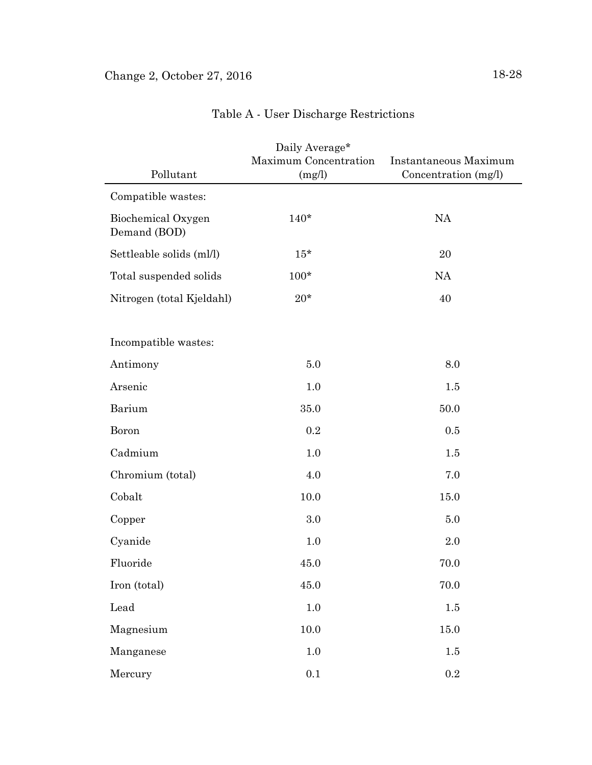|                                    | Daily Average*<br>Maximum Concentration | Instantaneous Maximum |
|------------------------------------|-----------------------------------------|-----------------------|
| Pollutant                          | (mg/l)                                  | Concentration (mg/l)  |
| Compatible wastes:                 |                                         |                       |
| Biochemical Oxygen<br>Demand (BOD) | $140*$                                  | <b>NA</b>             |
| Settleable solids (ml/l)           | $15*$                                   | 20                    |
| Total suspended solids             | $100*$                                  | <b>NA</b>             |
| Nitrogen (total Kjeldahl)          | $20*$                                   | 40                    |
|                                    |                                         |                       |
| Incompatible wastes:               |                                         |                       |
| Antimony                           | 5.0                                     | 8.0                   |
| Arsenic                            | 1.0                                     | $1.5\,$               |
| Barium                             | 35.0                                    | 50.0                  |
| Boron                              | 0.2                                     | 0.5                   |
| Cadmium                            | 1.0                                     | 1.5                   |
| Chromium (total)                   | 4.0                                     | 7.0                   |
| Cobalt                             | 10.0                                    | 15.0                  |
| Copper                             | 3.0                                     | 5.0                   |
| Cyanide                            | 1.0                                     | 2.0                   |
| Fluoride                           | 45.0                                    | 70.0                  |
| Iron (total)                       | 45.0                                    | 70.0                  |
| Lead                               | $1.0\,$                                 | $1.5\,$               |
| Magnesium                          | 10.0                                    | 15.0                  |
| Manganese                          | $1.0\,$                                 | $1.5\,$               |
| Mercury                            | $0.1\,$                                 | $\rm 0.2$             |

# Table A - User Discharge Restrictions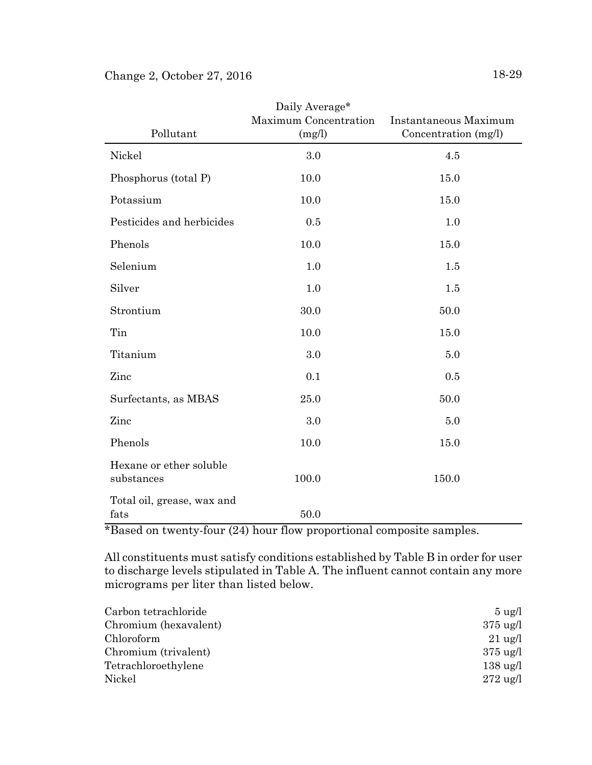| Pollutant                             | Daily Average*<br>Maximum Concentration<br>(mg/l) | Instantaneous Maximum<br>Concentration (mg/l) |
|---------------------------------------|---------------------------------------------------|-----------------------------------------------|
| Nickel                                | 3.0                                               | 4.5                                           |
| Phosphorus (total P)                  | 10.0                                              | 15.0                                          |
| Potassium                             | 10.0                                              | 15.0                                          |
| Pesticides and herbicides             | 0.5                                               | 1.0                                           |
| Phenols                               | 10.0                                              | 15.0                                          |
| Selenium                              | 1.0                                               | 1.5                                           |
| Silver                                | 1.0                                               | 1.5                                           |
| Strontium                             | 30.0                                              | 50.0                                          |
| Tin                                   | $10.0\,$                                          | 15.0                                          |
| Titanium                              | 3.0                                               | 5.0                                           |
| Zinc                                  | 0.1                                               | 0.5                                           |
| Surfectants, as MBAS                  | 25.0                                              | 50.0                                          |
| Zinc                                  | 3.0                                               | 5.0                                           |
| Phenols                               | 10.0                                              | 15.0                                          |
| Hexane or ether soluble<br>substances | 100.0                                             | 150.0                                         |
| Total oil, grease, wax and<br>fats    | 50.0                                              |                                               |

\*Based on twenty-four (24) hour flow proportional composite samples.

All constituents must satisfy conditions established by Table B in order for user to discharge levels stipulated in Table A. The influent cannot contain any more micrograms per liter than listed below.

| $5 \text{ ug}/l$   |
|--------------------|
| $375 \text{ ug}/l$ |
| $21 \text{ ug}/l$  |
| $375 \text{ ug}/l$ |
| $138 \text{ ug}/l$ |
| $272 \text{ ug}/l$ |
|                    |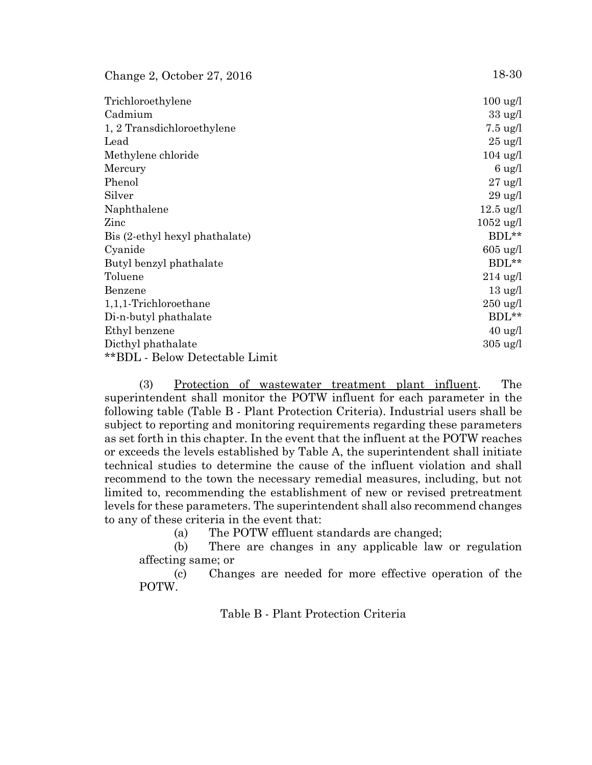| Change 2, October $27, 2016$   | 18-30               |
|--------------------------------|---------------------|
| Trichloroethylene              | $100 \text{ ug}/l$  |
| Cadmium                        | $33 \text{ ug}/l$   |
| 1, 2 Transdichloroethylene     | $7.5 \text{ ug}/l$  |
| Lead                           | $25 \text{ ug}/l$   |
| Methylene chloride             | $104 \text{ ug}/l$  |
| Mercury                        | $6 \text{ ug}/l$    |
| Phenol                         | $27 \text{ ug}/l$   |
| Silver                         | $29 \text{ ug}/l$   |
| Naphthalene                    | $12.5 \text{ ug}/l$ |
| Zinc                           | $1052 \text{ ug/l}$ |
| Bis (2-ethyl hexyl phathalate) | $BDL**$             |
| Cyanide                        | $605 \text{ ug}/l$  |
| Butyl benzyl phathalate        | BDL**               |
| Toluene                        | $214$ ug/l          |
| Benzene                        | $13 \text{ ug}/l$   |
| $1,1,1$ -Trichloroethane       | $250 \text{ ug}/l$  |
| Di-n-butyl phathalate          | $BDL**$             |
| Ethyl benzene                  | $40 \text{ ug}/l$   |
| Dicthyl phathalate             | $305 \text{ ug}/l$  |
| **BDL - Below Detectable Limit |                     |

(3) Protection of wastewater treatment plant influent. The superintendent shall monitor the POTW influent for each parameter in the following table (Table B - Plant Protection Criteria). Industrial users shall be subject to reporting and monitoring requirements regarding these parameters as set forth in this chapter. In the event that the influent at the POTW reaches or exceeds the levels established by Table A, the superintendent shall initiate technical studies to determine the cause of the influent violation and shall recommend to the town the necessary remedial measures, including, but not limited to, recommending the establishment of new or revised pretreatment levels for these parameters. The superintendent shall also recommend changes to any of these criteria in the event that:

(a) The POTW effluent standards are changed;

(b) There are changes in any applicable law or regulation affecting same; or

(c) Changes are needed for more effective operation of the POTW.

Table B - Plant Protection Criteria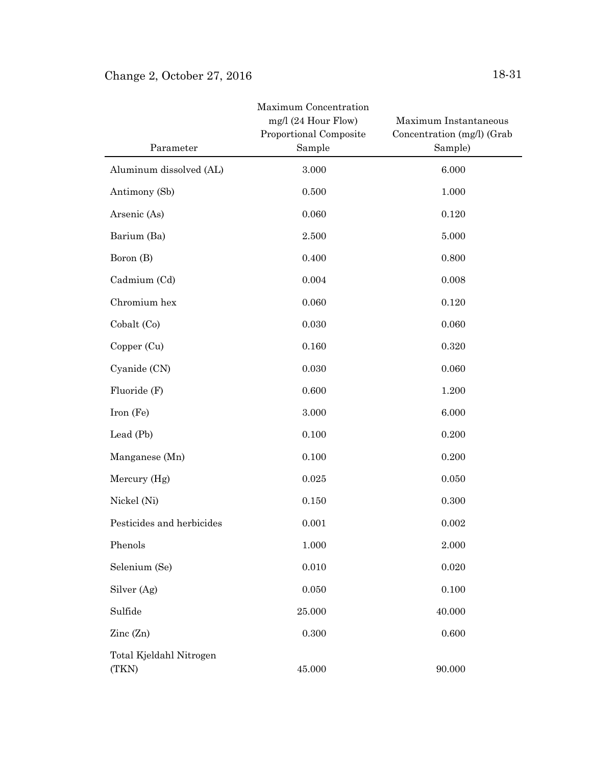| Parameter                        | Maximum Concentration<br>mg/l (24 Hour Flow)<br>Proportional Composite<br>Sample | Maximum Instantaneous<br>Concentration (mg/l) (Grab<br>Sample) |
|----------------------------------|----------------------------------------------------------------------------------|----------------------------------------------------------------|
| Aluminum dissolved (AL)          | 3.000                                                                            | 6.000                                                          |
| Antimony (Sb)                    | 0.500                                                                            | 1.000                                                          |
| Arsenic (As)                     | 0.060                                                                            | 0.120                                                          |
| Barium (Ba)                      | 2.500                                                                            | 5.000                                                          |
| Boron (B)                        | 0.400                                                                            | 0.800                                                          |
| Cadmium (Cd)                     | 0.004                                                                            | 0.008                                                          |
| Chromium hex                     | 0.060                                                                            | 0.120                                                          |
| Cobalt (Co)                      | 0.030                                                                            | 0.060                                                          |
| Copper (Cu)                      | 0.160                                                                            | 0.320                                                          |
| Cyanide (CN)                     | 0.030                                                                            | 0.060                                                          |
| Fluoride (F)                     | 0.600                                                                            | 1.200                                                          |
| Iron (Fe)                        | 3.000                                                                            | 6.000                                                          |
| Lead (Pb)                        | 0.100                                                                            | 0.200                                                          |
| Manganese (Mn)                   | 0.100                                                                            | 0.200                                                          |
| Mercury (Hg)                     | 0.025                                                                            | 0.050                                                          |
| Nickel (Ni)                      | 0.150                                                                            | 0.300                                                          |
| Pesticides and herbicides        | 0.001                                                                            | 0.002                                                          |
| Phenols                          | 1.000                                                                            | 2.000                                                          |
| Selenium (Se)                    | 0.010                                                                            | 0.020                                                          |
| Silver (Ag)                      | 0.050                                                                            | 0.100                                                          |
| Sulfide                          | 25.000                                                                           | 40.000                                                         |
| Zinc (Zn)                        | 0.300                                                                            | 0.600                                                          |
| Total Kjeldahl Nitrogen<br>(TKN) | 45.000                                                                           | 90.000                                                         |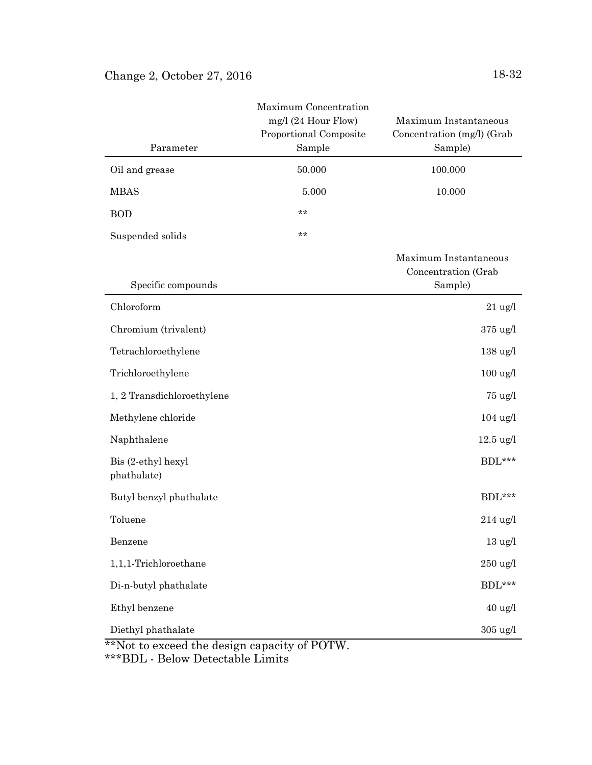| Oil and grease<br>100.000<br>50.000<br><b>MBAS</b><br>10.000<br>5.000<br>**<br><b>BOD</b><br>**<br>Suspended solids<br>Maximum Instantaneous<br>Concentration (Grab<br>Specific compounds<br>Sample)<br>Chloroform<br>$21$ ug/l<br>Chromium (trivalent)<br>$375 \text{ ug}/l$<br>Tetrachloroethylene<br>$138 \text{ ug}/l$<br>Trichloroethylene<br>$100 \text{ ug/l}$<br>1, 2 Transdichloroethylene<br>$75 \text{ ug}/l$<br>Methylene chloride<br>$104$ ug/l<br>Naphthalene<br>$12.5 \text{ ug}/l$<br>Bis (2-ethyl hexyl<br>$BDL***$<br>phathalate)<br>Butyl benzyl phathalate<br>BDL***<br>Toluene<br>$214 \text{ ug}/l$<br>Benzene<br>$13 \text{ ug}/l$<br>1,1,1-Trichloroethane<br>$250$ ug/l<br>BDL***<br>Di-n-butyl phathalate<br>Ethyl benzene<br>$40 \text{ ug}/l$<br>Diethyl phathalate<br>$305 \text{ ug}/l$ | Parameter | Maximum Concentration<br>mg/l (24 Hour Flow)<br>Proportional Composite<br>Sample | Maximum Instantaneous<br>Concentration (mg/l) (Grab<br>Sample) |
|-----------------------------------------------------------------------------------------------------------------------------------------------------------------------------------------------------------------------------------------------------------------------------------------------------------------------------------------------------------------------------------------------------------------------------------------------------------------------------------------------------------------------------------------------------------------------------------------------------------------------------------------------------------------------------------------------------------------------------------------------------------------------------------------------------------------------|-----------|----------------------------------------------------------------------------------|----------------------------------------------------------------|
|                                                                                                                                                                                                                                                                                                                                                                                                                                                                                                                                                                                                                                                                                                                                                                                                                       |           |                                                                                  |                                                                |
|                                                                                                                                                                                                                                                                                                                                                                                                                                                                                                                                                                                                                                                                                                                                                                                                                       |           |                                                                                  |                                                                |
|                                                                                                                                                                                                                                                                                                                                                                                                                                                                                                                                                                                                                                                                                                                                                                                                                       |           |                                                                                  |                                                                |
|                                                                                                                                                                                                                                                                                                                                                                                                                                                                                                                                                                                                                                                                                                                                                                                                                       |           |                                                                                  |                                                                |
|                                                                                                                                                                                                                                                                                                                                                                                                                                                                                                                                                                                                                                                                                                                                                                                                                       |           |                                                                                  |                                                                |
|                                                                                                                                                                                                                                                                                                                                                                                                                                                                                                                                                                                                                                                                                                                                                                                                                       |           |                                                                                  |                                                                |
|                                                                                                                                                                                                                                                                                                                                                                                                                                                                                                                                                                                                                                                                                                                                                                                                                       |           |                                                                                  |                                                                |
|                                                                                                                                                                                                                                                                                                                                                                                                                                                                                                                                                                                                                                                                                                                                                                                                                       |           |                                                                                  |                                                                |
|                                                                                                                                                                                                                                                                                                                                                                                                                                                                                                                                                                                                                                                                                                                                                                                                                       |           |                                                                                  |                                                                |
|                                                                                                                                                                                                                                                                                                                                                                                                                                                                                                                                                                                                                                                                                                                                                                                                                       |           |                                                                                  |                                                                |
|                                                                                                                                                                                                                                                                                                                                                                                                                                                                                                                                                                                                                                                                                                                                                                                                                       |           |                                                                                  |                                                                |
|                                                                                                                                                                                                                                                                                                                                                                                                                                                                                                                                                                                                                                                                                                                                                                                                                       |           |                                                                                  |                                                                |
|                                                                                                                                                                                                                                                                                                                                                                                                                                                                                                                                                                                                                                                                                                                                                                                                                       |           |                                                                                  |                                                                |
|                                                                                                                                                                                                                                                                                                                                                                                                                                                                                                                                                                                                                                                                                                                                                                                                                       |           |                                                                                  |                                                                |
|                                                                                                                                                                                                                                                                                                                                                                                                                                                                                                                                                                                                                                                                                                                                                                                                                       |           |                                                                                  |                                                                |
|                                                                                                                                                                                                                                                                                                                                                                                                                                                                                                                                                                                                                                                                                                                                                                                                                       |           |                                                                                  |                                                                |
|                                                                                                                                                                                                                                                                                                                                                                                                                                                                                                                                                                                                                                                                                                                                                                                                                       |           |                                                                                  |                                                                |
|                                                                                                                                                                                                                                                                                                                                                                                                                                                                                                                                                                                                                                                                                                                                                                                                                       |           |                                                                                  |                                                                |
|                                                                                                                                                                                                                                                                                                                                                                                                                                                                                                                                                                                                                                                                                                                                                                                                                       |           |                                                                                  |                                                                |
| **Not to exceed the design capacity of POTW.                                                                                                                                                                                                                                                                                                                                                                                                                                                                                                                                                                                                                                                                                                                                                                          |           |                                                                                  |                                                                |

\*\*\*BDL - Below Detectable Limits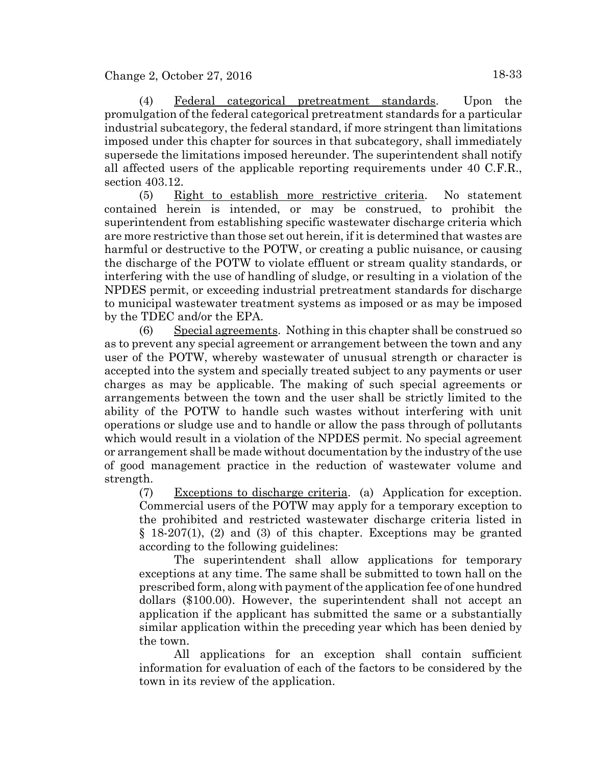(4) Federal categorical pretreatment standards. Upon the promulgation of the federal categorical pretreatment standards for a particular industrial subcategory, the federal standard, if more stringent than limitations imposed under this chapter for sources in that subcategory, shall immediately supersede the limitations imposed hereunder. The superintendent shall notify all affected users of the applicable reporting requirements under 40 C.F.R., section 403.12.

(5) Right to establish more restrictive criteria. No statement contained herein is intended, or may be construed, to prohibit the superintendent from establishing specific wastewater discharge criteria which are more restrictive than those set out herein, if it is determined that wastes are harmful or destructive to the POTW, or creating a public nuisance, or causing the discharge of the POTW to violate effluent or stream quality standards, or interfering with the use of handling of sludge, or resulting in a violation of the NPDES permit, or exceeding industrial pretreatment standards for discharge to municipal wastewater treatment systems as imposed or as may be imposed by the TDEC and/or the EPA.

(6) Special agreements. Nothing in this chapter shall be construed so as to prevent any special agreement or arrangement between the town and any user of the POTW, whereby wastewater of unusual strength or character is accepted into the system and specially treated subject to any payments or user charges as may be applicable. The making of such special agreements or arrangements between the town and the user shall be strictly limited to the ability of the POTW to handle such wastes without interfering with unit operations or sludge use and to handle or allow the pass through of pollutants which would result in a violation of the NPDES permit. No special agreement or arrangement shall be made without documentation by the industry of the use of good management practice in the reduction of wastewater volume and strength.

(7) Exceptions to discharge criteria. (a) Application for exception. Commercial users of the POTW may apply for a temporary exception to the prohibited and restricted wastewater discharge criteria listed in § 18-207(1), (2) and (3) of this chapter. Exceptions may be granted according to the following guidelines:

The superintendent shall allow applications for temporary exceptions at any time. The same shall be submitted to town hall on the prescribed form, along with payment of the application fee of one hundred dollars (\$100.00). However, the superintendent shall not accept an application if the applicant has submitted the same or a substantially similar application within the preceding year which has been denied by the town.

All applications for an exception shall contain sufficient information for evaluation of each of the factors to be considered by the town in its review of the application.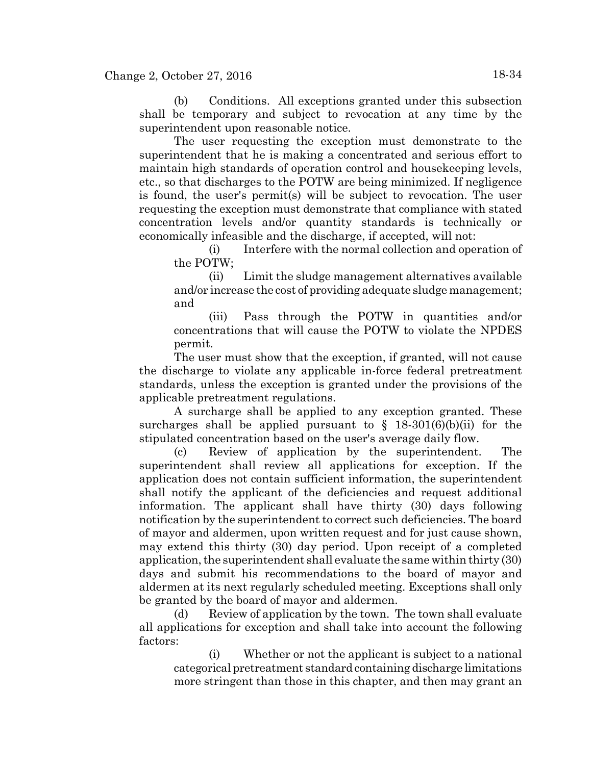(b) Conditions. All exceptions granted under this subsection shall be temporary and subject to revocation at any time by the superintendent upon reasonable notice.

The user requesting the exception must demonstrate to the superintendent that he is making a concentrated and serious effort to maintain high standards of operation control and housekeeping levels, etc., so that discharges to the POTW are being minimized. If negligence is found, the user's permit(s) will be subject to revocation. The user requesting the exception must demonstrate that compliance with stated concentration levels and/or quantity standards is technically or economically infeasible and the discharge, if accepted, will not:

(i) Interfere with the normal collection and operation of the POTW;

(ii) Limit the sludge management alternatives available and/or increase the cost of providing adequate sludge management; and

(iii) Pass through the POTW in quantities and/or concentrations that will cause the POTW to violate the NPDES permit.

The user must show that the exception, if granted, will not cause the discharge to violate any applicable in-force federal pretreatment standards, unless the exception is granted under the provisions of the applicable pretreatment regulations.

A surcharge shall be applied to any exception granted. These surcharges shall be applied pursuant to  $\S$  18-301(6)(b)(ii) for the stipulated concentration based on the user's average daily flow.

(c) Review of application by the superintendent. The superintendent shall review all applications for exception. If the application does not contain sufficient information, the superintendent shall notify the applicant of the deficiencies and request additional information. The applicant shall have thirty (30) days following notification by the superintendent to correct such deficiencies. The board of mayor and aldermen, upon written request and for just cause shown, may extend this thirty (30) day period. Upon receipt of a completed application, the superintendent shall evaluate the same within thirty (30) days and submit his recommendations to the board of mayor and aldermen at its next regularly scheduled meeting. Exceptions shall only be granted by the board of mayor and aldermen.

(d) Review of application by the town. The town shall evaluate all applications for exception and shall take into account the following factors:

(i) Whether or not the applicant is subject to a national categorical pretreatment standard containing discharge limitations more stringent than those in this chapter, and then may grant an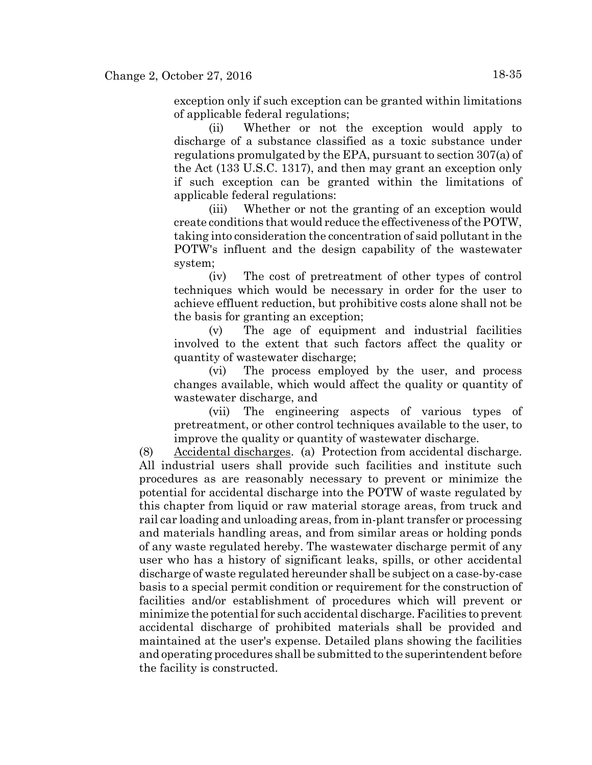exception only if such exception can be granted within limitations of applicable federal regulations;

(ii) Whether or not the exception would apply to discharge of a substance classified as a toxic substance under regulations promulgated by the EPA, pursuant to section 307(a) of the Act (133 U.S.C. 1317), and then may grant an exception only if such exception can be granted within the limitations of applicable federal regulations:

(iii) Whether or not the granting of an exception would create conditions that would reduce the effectiveness of the POTW, taking into consideration the concentration of said pollutant in the POTW's influent and the design capability of the wastewater system;

(iv) The cost of pretreatment of other types of control techniques which would be necessary in order for the user to achieve effluent reduction, but prohibitive costs alone shall not be the basis for granting an exception;

(v) The age of equipment and industrial facilities involved to the extent that such factors affect the quality or quantity of wastewater discharge;

(vi) The process employed by the user, and process changes available, which would affect the quality or quantity of wastewater discharge, and

(vii) The engineering aspects of various types of pretreatment, or other control techniques available to the user, to improve the quality or quantity of wastewater discharge.

(8) Accidental discharges. (a) Protection from accidental discharge. All industrial users shall provide such facilities and institute such procedures as are reasonably necessary to prevent or minimize the potential for accidental discharge into the POTW of waste regulated by this chapter from liquid or raw material storage areas, from truck and rail car loading and unloading areas, from in-plant transfer or processing and materials handling areas, and from similar areas or holding ponds of any waste regulated hereby. The wastewater discharge permit of any user who has a history of significant leaks, spills, or other accidental discharge of waste regulated hereunder shall be subject on a case-by-case basis to a special permit condition or requirement for the construction of facilities and/or establishment of procedures which will prevent or minimize the potential for such accidental discharge. Facilities to prevent accidental discharge of prohibited materials shall be provided and maintained at the user's expense. Detailed plans showing the facilities and operating procedures shall be submitted to the superintendent before the facility is constructed.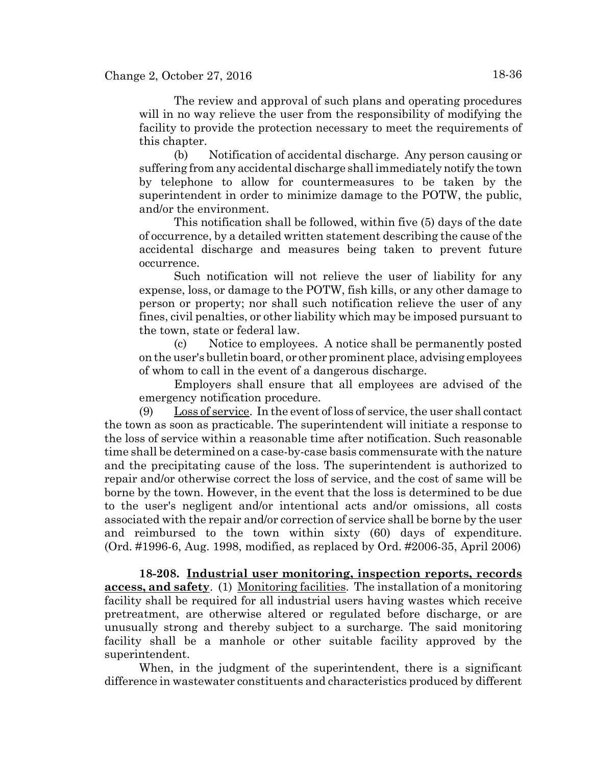The review and approval of such plans and operating procedures will in no way relieve the user from the responsibility of modifying the facility to provide the protection necessary to meet the requirements of this chapter.

(b) Notification of accidental discharge. Any person causing or suffering from any accidental discharge shall immediately notify the town by telephone to allow for countermeasures to be taken by the superintendent in order to minimize damage to the POTW, the public, and/or the environment.

This notification shall be followed, within five (5) days of the date of occurrence, by a detailed written statement describing the cause of the accidental discharge and measures being taken to prevent future occurrence.

Such notification will not relieve the user of liability for any expense, loss, or damage to the POTW, fish kills, or any other damage to person or property; nor shall such notification relieve the user of any fines, civil penalties, or other liability which may be imposed pursuant to the town, state or federal law.

(c) Notice to employees. A notice shall be permanently posted on the user's bulletin board, or other prominent place, advising employees of whom to call in the event of a dangerous discharge.

Employers shall ensure that all employees are advised of the emergency notification procedure.

(9) Loss of service. In the event of loss of service, the user shall contact the town as soon as practicable. The superintendent will initiate a response to the loss of service within a reasonable time after notification. Such reasonable time shall be determined on a case-by-case basis commensurate with the nature and the precipitating cause of the loss. The superintendent is authorized to repair and/or otherwise correct the loss of service, and the cost of same will be borne by the town. However, in the event that the loss is determined to be due to the user's negligent and/or intentional acts and/or omissions, all costs associated with the repair and/or correction of service shall be borne by the user and reimbursed to the town within sixty (60) days of expenditure. (Ord. #1996-6, Aug. 1998, modified, as replaced by Ord. #2006-35, April 2006)

**18-208. Industrial user monitoring, inspection reports, records access, and safety**. (1) Monitoring facilities. The installation of a monitoring facility shall be required for all industrial users having wastes which receive pretreatment, are otherwise altered or regulated before discharge, or are unusually strong and thereby subject to a surcharge. The said monitoring facility shall be a manhole or other suitable facility approved by the superintendent.

When, in the judgment of the superintendent, there is a significant difference in wastewater constituents and characteristics produced by different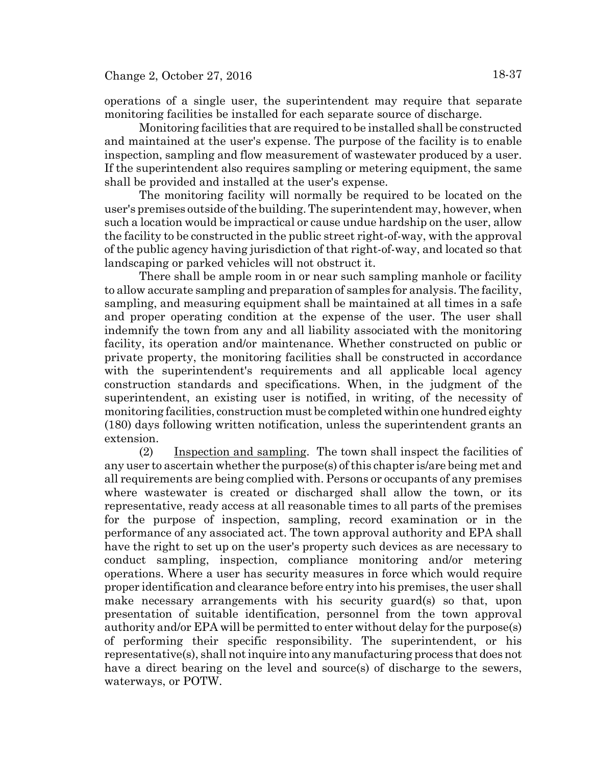operations of a single user, the superintendent may require that separate monitoring facilities be installed for each separate source of discharge.

Monitoring facilities that are required to be installed shall be constructed and maintained at the user's expense. The purpose of the facility is to enable inspection, sampling and flow measurement of wastewater produced by a user. If the superintendent also requires sampling or metering equipment, the same shall be provided and installed at the user's expense.

The monitoring facility will normally be required to be located on the user's premises outside of the building. The superintendent may, however, when such a location would be impractical or cause undue hardship on the user, allow the facility to be constructed in the public street right-of-way, with the approval of the public agency having jurisdiction of that right-of-way, and located so that landscaping or parked vehicles will not obstruct it.

There shall be ample room in or near such sampling manhole or facility to allow accurate sampling and preparation of samples for analysis. The facility, sampling, and measuring equipment shall be maintained at all times in a safe and proper operating condition at the expense of the user. The user shall indemnify the town from any and all liability associated with the monitoring facility, its operation and/or maintenance. Whether constructed on public or private property, the monitoring facilities shall be constructed in accordance with the superintendent's requirements and all applicable local agency construction standards and specifications. When, in the judgment of the superintendent, an existing user is notified, in writing, of the necessity of monitoring facilities, construction must be completed within one hundred eighty (180) days following written notification, unless the superintendent grants an extension.

(2) Inspection and sampling. The town shall inspect the facilities of any user to ascertain whether the purpose(s) of this chapter is/are being met and all requirements are being complied with. Persons or occupants of any premises where wastewater is created or discharged shall allow the town, or its representative, ready access at all reasonable times to all parts of the premises for the purpose of inspection, sampling, record examination or in the performance of any associated act. The town approval authority and EPA shall have the right to set up on the user's property such devices as are necessary to conduct sampling, inspection, compliance monitoring and/or metering operations. Where a user has security measures in force which would require proper identification and clearance before entry into his premises, the user shall make necessary arrangements with his security guard(s) so that, upon presentation of suitable identification, personnel from the town approval authority and/or EPA will be permitted to enter without delay for the purpose(s) of performing their specific responsibility. The superintendent, or his representative(s), shall not inquire into any manufacturing process that does not have a direct bearing on the level and source(s) of discharge to the sewers, waterways, or POTW.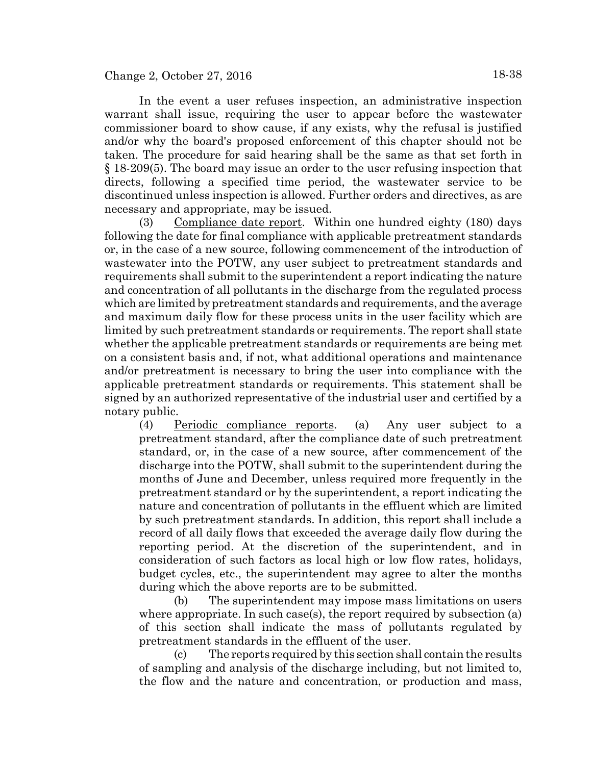In the event a user refuses inspection, an administrative inspection warrant shall issue, requiring the user to appear before the wastewater commissioner board to show cause, if any exists, why the refusal is justified and/or why the board's proposed enforcement of this chapter should not be taken. The procedure for said hearing shall be the same as that set forth in § 18-209(5). The board may issue an order to the user refusing inspection that directs, following a specified time period, the wastewater service to be discontinued unless inspection is allowed. Further orders and directives, as are necessary and appropriate, may be issued.

(3) Compliance date report. Within one hundred eighty (180) days following the date for final compliance with applicable pretreatment standards or, in the case of a new source, following commencement of the introduction of wastewater into the POTW, any user subject to pretreatment standards and requirements shall submit to the superintendent a report indicating the nature and concentration of all pollutants in the discharge from the regulated process which are limited by pretreatment standards and requirements, and the average and maximum daily flow for these process units in the user facility which are limited by such pretreatment standards or requirements. The report shall state whether the applicable pretreatment standards or requirements are being met on a consistent basis and, if not, what additional operations and maintenance and/or pretreatment is necessary to bring the user into compliance with the applicable pretreatment standards or requirements. This statement shall be signed by an authorized representative of the industrial user and certified by a notary public.

(4) Periodic compliance reports. (a) Any user subject to a pretreatment standard, after the compliance date of such pretreatment standard, or, in the case of a new source, after commencement of the discharge into the POTW, shall submit to the superintendent during the months of June and December, unless required more frequently in the pretreatment standard or by the superintendent, a report indicating the nature and concentration of pollutants in the effluent which are limited by such pretreatment standards. In addition, this report shall include a record of all daily flows that exceeded the average daily flow during the reporting period. At the discretion of the superintendent, and in consideration of such factors as local high or low flow rates, holidays, budget cycles, etc., the superintendent may agree to alter the months during which the above reports are to be submitted.

(b) The superintendent may impose mass limitations on users where appropriate. In such case(s), the report required by subsection (a) of this section shall indicate the mass of pollutants regulated by pretreatment standards in the effluent of the user.

(c) The reports required by this section shall contain the results of sampling and analysis of the discharge including, but not limited to, the flow and the nature and concentration, or production and mass,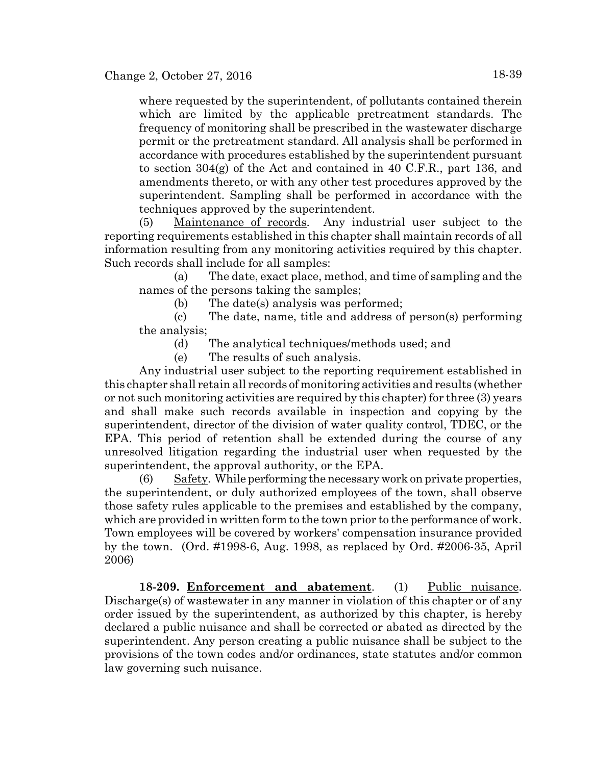where requested by the superintendent, of pollutants contained therein which are limited by the applicable pretreatment standards. The frequency of monitoring shall be prescribed in the wastewater discharge permit or the pretreatment standard. All analysis shall be performed in accordance with procedures established by the superintendent pursuant to section 304(g) of the Act and contained in 40 C.F.R., part 136, and amendments thereto, or with any other test procedures approved by the superintendent. Sampling shall be performed in accordance with the techniques approved by the superintendent.

(5) Maintenance of records. Any industrial user subject to the reporting requirements established in this chapter shall maintain records of all information resulting from any monitoring activities required by this chapter. Such records shall include for all samples:

(a) The date, exact place, method, and time of sampling and the names of the persons taking the samples;

(b) The date(s) analysis was performed;

(c) The date, name, title and address of person(s) performing the analysis;

(d) The analytical techniques/methods used; and

(e) The results of such analysis.

Any industrial user subject to the reporting requirement established in this chapter shall retain all records of monitoring activities and results (whether or not such monitoring activities are required by this chapter) for three (3) years and shall make such records available in inspection and copying by the superintendent, director of the division of water quality control, TDEC, or the EPA. This period of retention shall be extended during the course of any unresolved litigation regarding the industrial user when requested by the superintendent, the approval authority, or the EPA.

(6) Safety. While performing the necessary work on private properties, the superintendent, or duly authorized employees of the town, shall observe those safety rules applicable to the premises and established by the company, which are provided in written form to the town prior to the performance of work. Town employees will be covered by workers' compensation insurance provided by the town. (Ord. #1998-6, Aug. 1998, as replaced by Ord. #2006-35, April 2006)

**18-209. Enforcement and abatement**. (1) Public nuisance. Discharge(s) of wastewater in any manner in violation of this chapter or of any order issued by the superintendent, as authorized by this chapter, is hereby declared a public nuisance and shall be corrected or abated as directed by the superintendent. Any person creating a public nuisance shall be subject to the provisions of the town codes and/or ordinances, state statutes and/or common law governing such nuisance.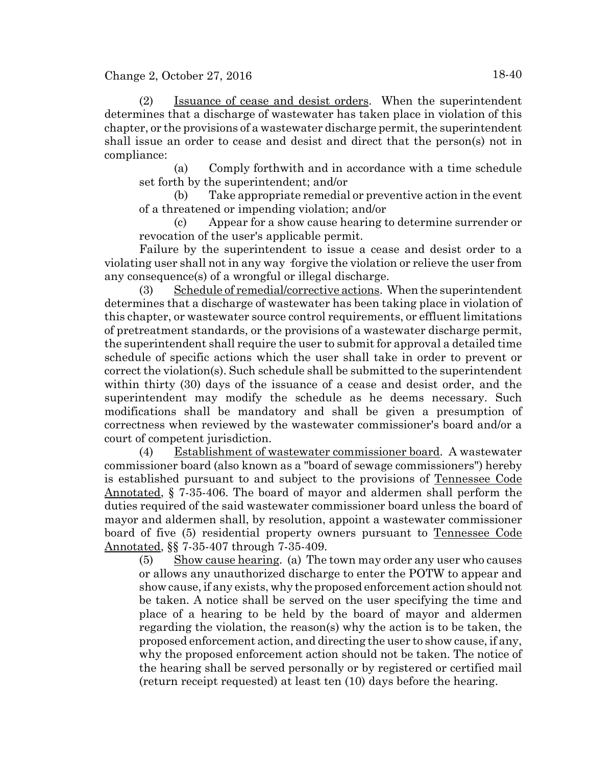Change 2, October 27, 2016 18-40

(2) Issuance of cease and desist orders. When the superintendent determines that a discharge of wastewater has taken place in violation of this chapter, or the provisions of a wastewater discharge permit, the superintendent shall issue an order to cease and desist and direct that the person(s) not in compliance:

(a) Comply forthwith and in accordance with a time schedule set forth by the superintendent; and/or

(b) Take appropriate remedial or preventive action in the event of a threatened or impending violation; and/or

(c) Appear for a show cause hearing to determine surrender or revocation of the user's applicable permit.

Failure by the superintendent to issue a cease and desist order to a violating user shall not in any way ·forgive the violation or relieve the user from any consequence(s) of a wrongful or illegal discharge.

(3) Schedule of remedial/corrective actions. When the superintendent determines that a discharge of wastewater has been taking place in violation of this chapter, or wastewater source control requirements, or effluent limitations of pretreatment standards, or the provisions of a wastewater discharge permit, the superintendent shall require the user to submit for approval a detailed time schedule of specific actions which the user shall take in order to prevent or correct the violation(s). Such schedule shall be submitted to the superintendent within thirty (30) days of the issuance of a cease and desist order, and the superintendent may modify the schedule as he deems necessary. Such modifications shall be mandatory and shall be given a presumption of correctness when reviewed by the wastewater commissioner's board and/or a court of competent jurisdiction.

(4) Establishment of wastewater commissioner board. A wastewater commissioner board (also known as a "board of sewage commissioners") hereby is established pursuant to and subject to the provisions of Tennessee Code Annotated, § 7-35-406. The board of mayor and aldermen shall perform the duties required of the said wastewater commissioner board unless the board of mayor and aldermen shall, by resolution, appoint a wastewater commissioner board of five (5) residential property owners pursuant to Tennessee Code Annotated, §§ 7-35-407 through 7-35-409.

(5) Show cause hearing. (a) The town may order any user who causes or allows any unauthorized discharge to enter the POTW to appear and show cause, if any exists, why the proposed enforcement action should not be taken. A notice shall be served on the user specifying the time and place of a hearing to be held by the board of mayor and aldermen regarding the violation, the reason(s) why the action is to be taken, the proposed enforcement action, and directing the user to show cause, if any, why the proposed enforcement action should not be taken. The notice of the hearing shall be served personally or by registered or certified mail (return receipt requested) at least ten (10) days before the hearing.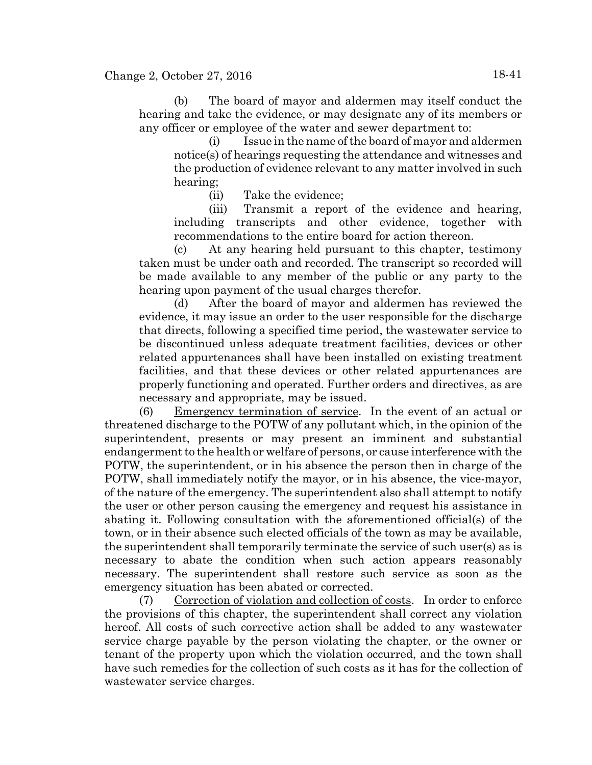(b) The board of mayor and aldermen may itself conduct the hearing and take the evidence, or may designate any of its members or any officer or employee of the water and sewer department to:

(i) Issue in the name of the board of mayor and aldermen notice(s) of hearings requesting the attendance and witnesses and the production of evidence relevant to any matter involved in such hearing;

(ii) Take the evidence;

(iii) Transmit a report of the evidence and hearing, including transcripts and other evidence, together with recommendations to the entire board for action thereon.

(c) At any hearing held pursuant to this chapter, testimony taken must be under oath and recorded. The transcript so recorded will be made available to any member of the public or any party to the hearing upon payment of the usual charges therefor.

(d) After the board of mayor and aldermen has reviewed the evidence, it may issue an order to the user responsible for the discharge that directs, following a specified time period, the wastewater service to be discontinued unless adequate treatment facilities, devices or other related appurtenances shall have been installed on existing treatment facilities, and that these devices or other related appurtenances are properly functioning and operated. Further orders and directives, as are necessary and appropriate, may be issued.

(6) Emergency termination of service. In the event of an actual or threatened discharge to the POTW of any pollutant which, in the opinion of the superintendent, presents or may present an imminent and substantial endangerment to the health or welfare of persons, or cause interference with the POTW, the superintendent, or in his absence the person then in charge of the POTW, shall immediately notify the mayor, or in his absence, the vice-mayor, of the nature of the emergency. The superintendent also shall attempt to notify the user or other person causing the emergency and request his assistance in abating it. Following consultation with the aforementioned official(s) of the town, or in their absence such elected officials of the town as may be available, the superintendent shall temporarily terminate the service of such user(s) as is necessary to abate the condition when such action appears reasonably necessary. The superintendent shall restore such service as soon as the emergency situation has been abated or corrected.

(7) Correction of violation and collection of costs. In order to enforce the provisions of this chapter, the superintendent shall correct any violation hereof. All costs of such corrective action shall be added to any wastewater service charge payable by the person violating the chapter, or the owner or tenant of the property upon which the violation occurred, and the town shall have such remedies for the collection of such costs as it has for the collection of wastewater service charges.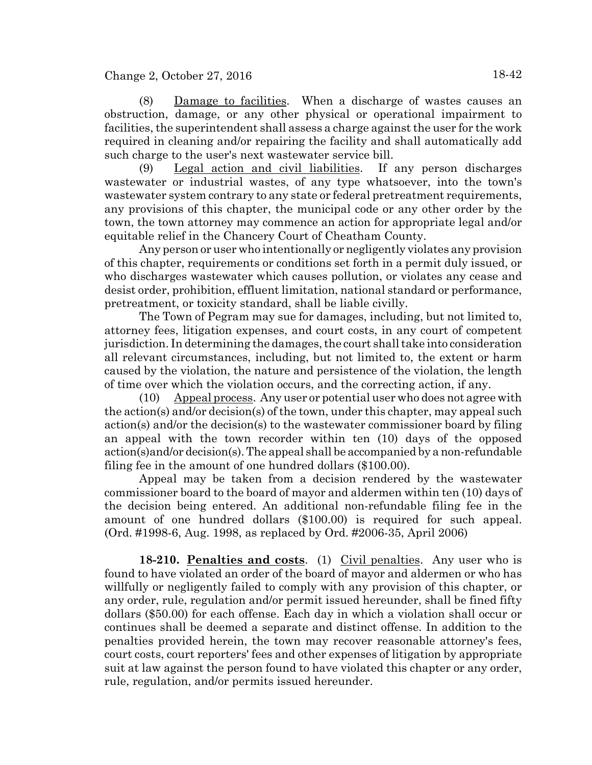(8) Damage to facilities. When a discharge of wastes causes an obstruction, damage, or any other physical or operational impairment to facilities, the superintendent shall assess a charge against the user for the work required in cleaning and/or repairing the facility and shall automatically add such charge to the user's next wastewater service bill.

(9) Legal action and civil liabilities. If any person discharges wastewater or industrial wastes, of any type whatsoever, into the town's wastewater system contrary to any state or federal pretreatment requirements, any provisions of this chapter, the municipal code or any other order by the town, the town attorney may commence an action for appropriate legal and/or equitable relief in the Chancery Court of Cheatham County.

Any person or user who intentionally or negligently violates any provision of this chapter, requirements or conditions set forth in a permit duly issued, or who discharges wastewater which causes pollution, or violates any cease and desist order, prohibition, effluent limitation, national standard or performance, pretreatment, or toxicity standard, shall be liable civilly.

The Town of Pegram may sue for damages, including, but not limited to, attorney fees, litigation expenses, and court costs, in any court of competent jurisdiction. In determining the damages, the court shall take into consideration all relevant circumstances, including, but not limited to, the extent or harm caused by the violation, the nature and persistence of the violation, the length of time over which the violation occurs, and the correcting action, if any.

(10) Appeal process. Any user or potential user who does not agree with the action(s) and/or decision(s) of the town, under this chapter, may appeal such action(s) and/or the decision(s) to the wastewater commissioner board by filing an appeal with the town recorder within ten (10) days of the opposed action(s)and/or decision(s). The appeal shall be accompanied by a non-refundable filing fee in the amount of one hundred dollars (\$100.00).

Appeal may be taken from a decision rendered by the wastewater commissioner board to the board of mayor and aldermen within ten (10) days of the decision being entered. An additional non-refundable filing fee in the amount of one hundred dollars (\$100.00) is required for such appeal. (Ord. #1998-6, Aug. 1998, as replaced by Ord. #2006-35, April 2006)

**18-210. Penalties and costs**. (1) Civil penalties. Any user who is found to have violated an order of the board of mayor and aldermen or who has willfully or negligently failed to comply with any provision of this chapter, or any order, rule, regulation and/or permit issued hereunder, shall be fined fifty dollars (\$50.00) for each offense. Each day in which a violation shall occur or continues shall be deemed a separate and distinct offense. In addition to the penalties provided herein, the town may recover reasonable attorney's fees, court costs, court reporters' fees and other expenses of litigation by appropriate suit at law against the person found to have violated this chapter or any order, rule, regulation, and/or permits issued hereunder.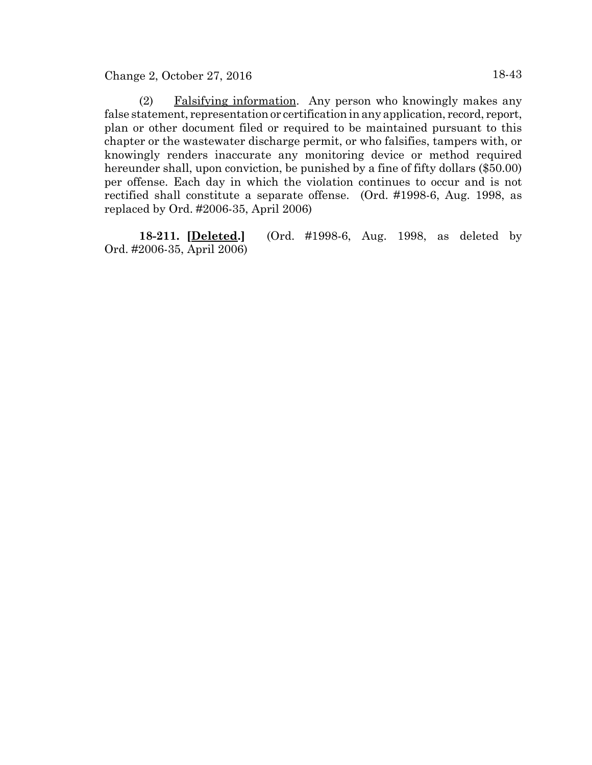Change 2, October 27, 2016 18-43

(2) Falsifying information. Any person who knowingly makes any false statement, representation or certification in any application, record, report, plan or other document filed or required to be maintained pursuant to this chapter or the wastewater discharge permit, or who falsifies, tampers with, or knowingly renders inaccurate any monitoring device or method required hereunder shall, upon conviction, be punished by a fine of fifty dollars (\$50.00) per offense. Each day in which the violation continues to occur and is not rectified shall constitute a separate offense. (Ord. #1998-6, Aug. 1998, as replaced by Ord. #2006-35, April 2006)

**18-211. [Deleted.]** (Ord. #1998-6, Aug. 1998, as deleted by Ord. #2006-35, April 2006)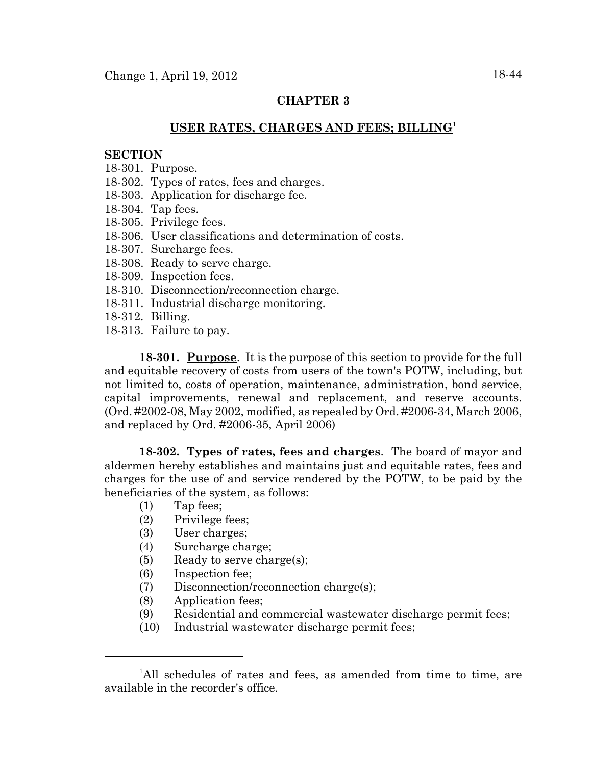# **CHAPTER 3**

# **USER RATES, CHARGES AND FEES; BILLING<sup>1</sup>**

#### **SECTION**

- 18-301. Purpose.
- 18-302. Types of rates, fees and charges.
- 18-303. Application for discharge fee.
- 18-304. Tap fees.
- 18-305. Privilege fees.
- 18-306. User classifications and determination of costs.
- 18-307. Surcharge fees.
- 18-308. Ready to serve charge.
- 18-309. Inspection fees.
- 18-310. Disconnection/reconnection charge.
- 18-311. Industrial discharge monitoring.
- 18-312. Billing.
- 18-313. Failure to pay.

**18-301. Purpose**. It is the purpose of this section to provide for the full and equitable recovery of costs from users of the town's POTW, including, but not limited to, costs of operation, maintenance, administration, bond service, capital improvements, renewal and replacement, and reserve accounts. (Ord. #2002-08, May 2002, modified, as repealed by Ord. #2006-34, March 2006, and replaced by Ord. #2006-35, April 2006)

**18-302. Types of rates, fees and charges**. The board of mayor and aldermen hereby establishes and maintains just and equitable rates, fees and charges for the use of and service rendered by the POTW, to be paid by the beneficiaries of the system, as follows:

- (1) Tap fees;
- (2) Privilege fees;
- (3) User charges;
- (4) Surcharge charge;
- (5) Ready to serve charge(s);
- (6) Inspection fee;
- (7) Disconnection/reconnection charge(s);
- (8) Application fees;
- (9) Residential and commercial wastewater discharge permit fees;
- (10) Industrial wastewater discharge permit fees;

<sup>&</sup>lt;sup>1</sup>All schedules of rates and fees, as amended from time to time, are available in the recorder's office.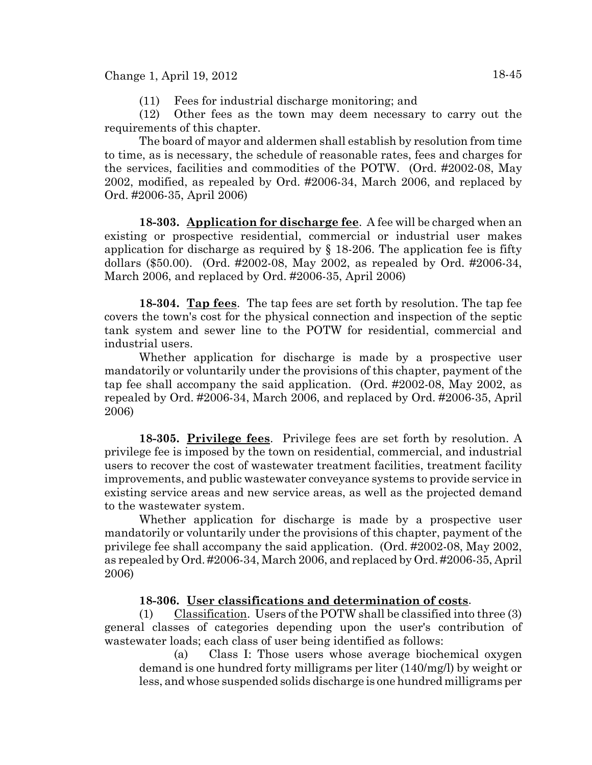(11) Fees for industrial discharge monitoring; and

(12) Other fees as the town may deem necessary to carry out the requirements of this chapter.

The board of mayor and aldermen shall establish by resolution from time to time, as is necessary, the schedule of reasonable rates, fees and charges for the services, facilities and commodities of the POTW. (Ord. #2002-08, May 2002, modified, as repealed by Ord. #2006-34, March 2006, and replaced by Ord. #2006-35, April 2006)

**18-303. Application for discharge fee**. A fee will be charged when an existing or prospective residential, commercial or industrial user makes application for discharge as required by § 18-206. The application fee is fifty dollars (\$50.00). (Ord. #2002-08, May 2002, as repealed by Ord. #2006-34, March 2006, and replaced by Ord. #2006-35, April 2006)

**18-304. Tap fees**. The tap fees are set forth by resolution. The tap fee covers the town's cost for the physical connection and inspection of the septic tank system and sewer line to the POTW for residential, commercial and industrial users.

Whether application for discharge is made by a prospective user mandatorily or voluntarily under the provisions of this chapter, payment of the tap fee shall accompany the said application. (Ord. #2002-08, May 2002, as repealed by Ord. #2006-34, March 2006, and replaced by Ord. #2006-35, April 2006)

**18-305. Privilege fees**. Privilege fees are set forth by resolution. A privilege fee is imposed by the town on residential, commercial, and industrial users to recover the cost of wastewater treatment facilities, treatment facility improvements, and public wastewater conveyance systems to provide service in existing service areas and new service areas, as well as the projected demand to the wastewater system.

Whether application for discharge is made by a prospective user mandatorily or voluntarily under the provisions of this chapter, payment of the privilege fee shall accompany the said application. (Ord. #2002-08, May 2002, as repealed by Ord. #2006-34, March 2006, and replaced by Ord. #2006-35, April 2006)

# **18-306. User classifications and determination of costs**.

(1) Classification. Users of the POTW shall be classified into three (3) general classes of categories depending upon the user's contribution of wastewater loads; each class of user being identified as follows:

(a) Class I: Those users whose average biochemical oxygen demand is one hundred forty milligrams per liter (140/mg/l) by weight or less, and whose suspended solids discharge is one hundred milligrams per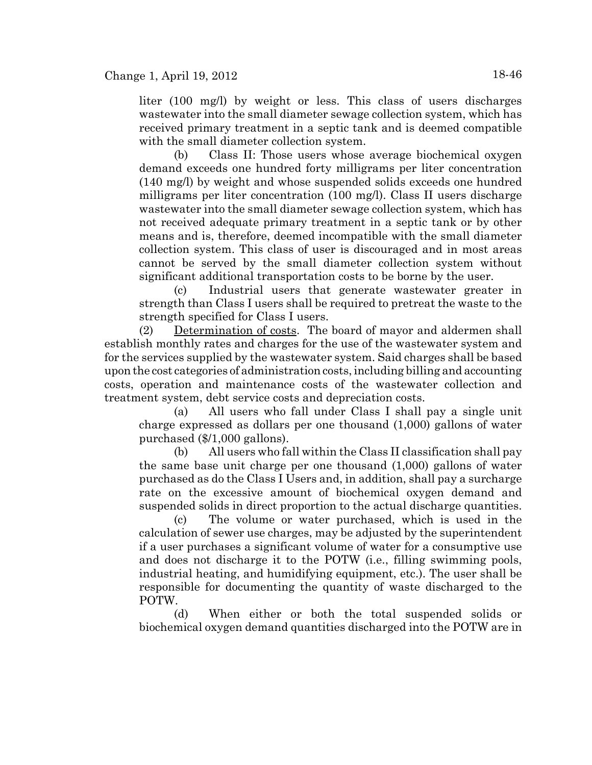liter (100 mg/l) by weight or less. This class of users discharges wastewater into the small diameter sewage collection system, which has received primary treatment in a septic tank and is deemed compatible with the small diameter collection system.

(b) Class II: Those users whose average biochemical oxygen demand exceeds one hundred forty milligrams per liter concentration (140 mg/l) by weight and whose suspended solids exceeds one hundred milligrams per liter concentration (100 mg/l). Class II users discharge wastewater into the small diameter sewage collection system, which has not received adequate primary treatment in a septic tank or by other means and is, therefore, deemed incompatible with the small diameter collection system. This class of user is discouraged and in most areas cannot be served by the small diameter collection system without significant additional transportation costs to be borne by the user.

(c) Industrial users that generate wastewater greater in strength than Class I users shall be required to pretreat the waste to the strength specified for Class I users.

(2) Determination of costs. The board of mayor and aldermen shall establish monthly rates and charges for the use of the wastewater system and for the services supplied by the wastewater system. Said charges shall be based upon the cost categories of administration costs, including billing and accounting costs, operation and maintenance costs of the wastewater collection and treatment system, debt service costs and depreciation costs.

(a) All users who fall under Class I shall pay a single unit charge expressed as dollars per one thousand (1,000) gallons of water purchased (\$/1,000 gallons).

(b) All users who fall within the Class II classification shall pay the same base unit charge per one thousand (1,000) gallons of water purchased as do the Class I Users and, in addition, shall pay a surcharge rate on the excessive amount of biochemical oxygen demand and suspended solids in direct proportion to the actual discharge quantities.

(c) The volume or water purchased, which is used in the calculation of sewer use charges, may be adjusted by the superintendent if a user purchases a significant volume of water for a consumptive use and does not discharge it to the POTW (i.e., filling swimming pools, industrial heating, and humidifying equipment, etc.). The user shall be responsible for documenting the quantity of waste discharged to the POTW.

(d) When either or both the total suspended solids or biochemical oxygen demand quantities discharged into the POTW are in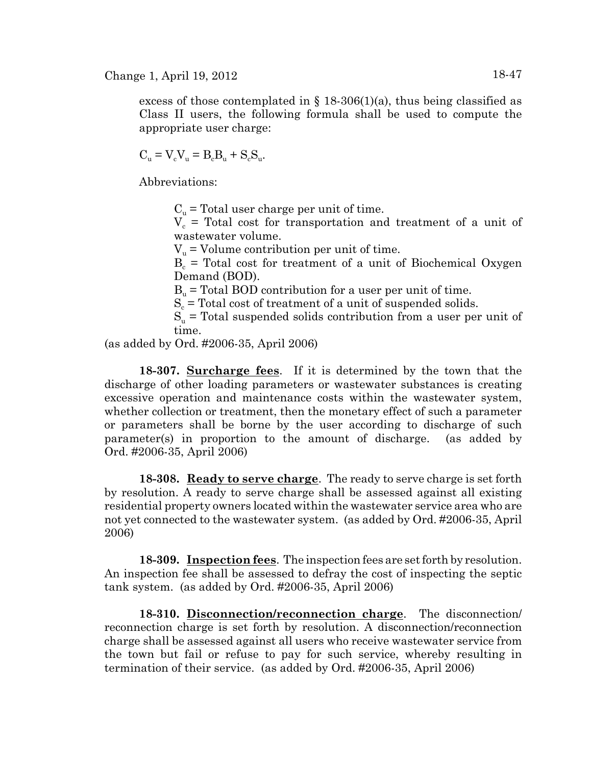excess of those contemplated in  $\S$  18-306(1)(a), thus being classified as Class II users, the following formula shall be used to compute the appropriate user charge:

$$
C_u = V_c V_u = B_c B_u + S_c S_u.
$$

Abbreviations:

 $C_{u}$  = Total user charge per unit of time.

 $V_c$  = Total cost for transportation and treatment of a unit of wastewater volume.

 $V_{\nu}$  = Volume contribution per unit of time.

 $B_c$  = Total cost for treatment of a unit of Biochemical Oxygen Demand (BOD).

 $B<sub>u</sub>$  = Total BOD contribution for a user per unit of time.

 $S_c$  = Total cost of treatment of a unit of suspended solids.

 $S_u$  = Total suspended solids contribution from a user per unit of time.

(as added by Ord. #2006-35, April 2006)

**18-307. Surcharge fees**. If it is determined by the town that the discharge of other loading parameters or wastewater substances is creating excessive operation and maintenance costs within the wastewater system, whether collection or treatment, then the monetary effect of such a parameter or parameters shall be borne by the user according to discharge of such parameter(s) in proportion to the amount of discharge. (as added by Ord. #2006-35, April 2006)

**18-308. Ready to serve charge**. The ready to serve charge is set forth by resolution. A ready to serve charge shall be assessed against all existing residential property owners located within the wastewater service area who are not yet connected to the wastewater system. (as added by Ord. #2006-35, April 2006)

**18-309. Inspection fees**. The inspection fees are set forth by resolution. An inspection fee shall be assessed to defray the cost of inspecting the septic tank system. (as added by Ord. #2006-35, April 2006)

**18-310. Disconnection/reconnection charge**. The disconnection/ reconnection charge is set forth by resolution. A disconnection/reconnection charge shall be assessed against all users who receive wastewater service from the town but fail or refuse to pay for such service, whereby resulting in termination of their service. (as added by Ord. #2006-35, April 2006)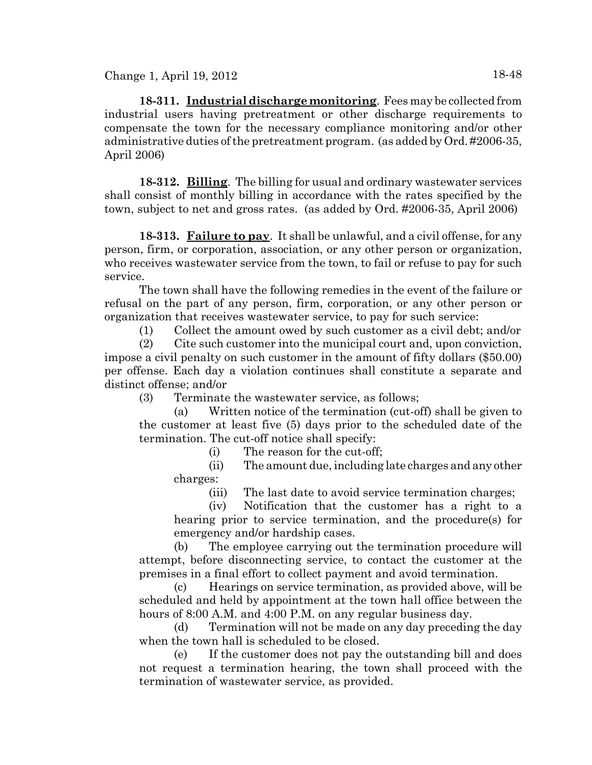Change 1, April 19, 2012 18-48

**18-311. Industrial discharge monitoring**. Fees may be collected from industrial users having pretreatment or other discharge requirements to compensate the town for the necessary compliance monitoring and/or other administrative duties of the pretreatment program. (as added by Ord. #2006-35, April 2006)

**18-312. Billing**. The billing for usual and ordinary wastewater services shall consist of monthly billing in accordance with the rates specified by the town, subject to net and gross rates. (as added by Ord. #2006-35, April 2006)

**18-313. Failure to pay**. It shall be unlawful, and a civil offense, for any person, firm, or corporation, association, or any other person or organization, who receives wastewater service from the town, to fail or refuse to pay for such service.

The town shall have the following remedies in the event of the failure or refusal on the part of any person, firm, corporation, or any other person or organization that receives wastewater service, to pay for such service:

(1) Collect the amount owed by such customer as a civil debt; and/or

(2) Cite such customer into the municipal court and, upon conviction, impose a civil penalty on such customer in the amount of fifty dollars (\$50.00) per offense. Each day a violation continues shall constitute a separate and distinct offense; and/or

(3) Terminate the wastewater service, as follows;

(a) Written notice of the termination (cut-off) shall be given to the customer at least five (5) days prior to the scheduled date of the termination. The cut-off notice shall specify:

(i) The reason for the cut-off;

(ii) The amount due, including late charges and any other charges:

(iii) The last date to avoid service termination charges;

(iv) Notification that the customer has a right to a hearing prior to service termination, and the procedure(s) for emergency and/or hardship cases.

(b) The employee carrying out the termination procedure will attempt, before disconnecting service, to contact the customer at the premises in a final effort to collect payment and avoid termination.

(c) Hearings on service termination, as provided above, will be scheduled and held by appointment at the town hall office between the hours of 8:00 A.M. and 4:00 P.M. on any regular business day.

(d) Termination will not be made on any day preceding the day when the town hall is scheduled to be closed.

(e) If the customer does not pay the outstanding bill and does not request a termination hearing, the town shall proceed with the termination of wastewater service, as provided.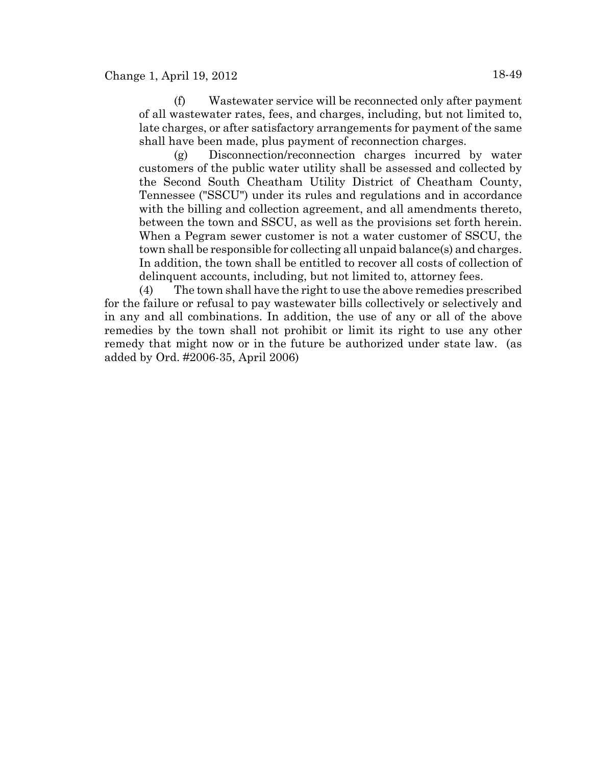(f) Wastewater service will be reconnected only after payment of all wastewater rates, fees, and charges, including, but not limited to, late charges, or after satisfactory arrangements for payment of the same shall have been made, plus payment of reconnection charges.

(g) Disconnection/reconnection charges incurred by water customers of the public water utility shall be assessed and collected by the Second South Cheatham Utility District of Cheatham County, Tennessee ("SSCU") under its rules and regulations and in accordance with the billing and collection agreement, and all amendments thereto, between the town and SSCU, as well as the provisions set forth herein. When a Pegram sewer customer is not a water customer of SSCU, the town shall be responsible for collecting all unpaid balance(s) and charges. In addition, the town shall be entitled to recover all costs of collection of delinquent accounts, including, but not limited to, attorney fees.

(4) The town shall have the right to use the above remedies prescribed for the failure or refusal to pay wastewater bills collectively or selectively and in any and all combinations. In addition, the use of any or all of the above remedies by the town shall not prohibit or limit its right to use any other remedy that might now or in the future be authorized under state law. (as added by Ord. #2006-35, April 2006)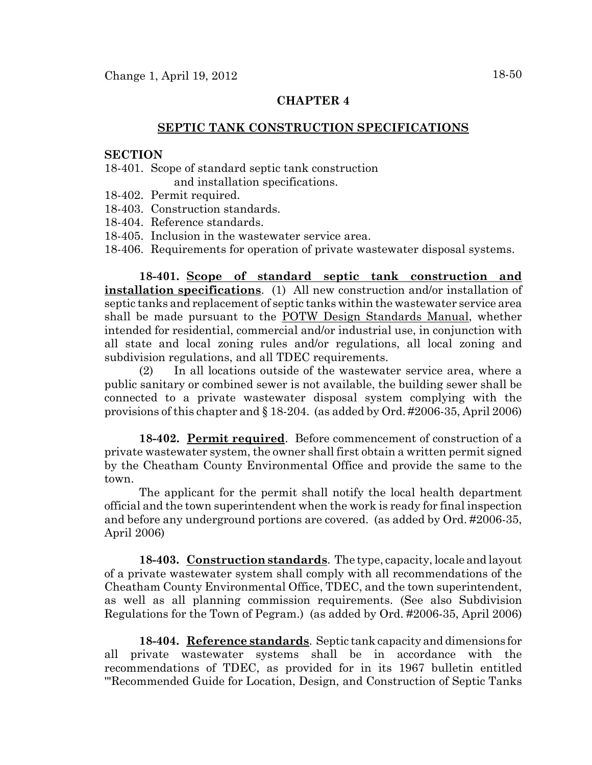# **CHAPTER 4**

# **SEPTIC TANK CONSTRUCTION SPECIFICATIONS**

### **SECTION**

- 18-401. Scope of standard septic tank construction and installation specifications.
- 18-402. Permit required.
- 18-403. Construction standards.
- 18-404. Reference standards.
- 18-405. Inclusion in the wastewater service area.
- 18-406. Requirements for operation of private wastewater disposal systems.

**18-401. Scope of standard septic tank construction and installation specifications**. (1) All new construction and/or installation of septic tanks and replacement of septic tanks within the wastewater service area shall be made pursuant to the POTW Design Standards Manual, whether intended for residential, commercial and/or industrial use, in conjunction with all state and local zoning rules and/or regulations, all local zoning and subdivision regulations, and all TDEC requirements.

(2) In all locations outside of the wastewater service area, where a public sanitary or combined sewer is not available, the building sewer shall be connected to a private wastewater disposal system complying with the provisions of this chapter and § 18-204. (as added by Ord. #2006-35, April 2006)

**18-402. Permit required**. Before commencement of construction of a private wastewater system, the owner shall first obtain a written permit signed by the Cheatham County Environmental Office and provide the same to the town.

The applicant for the permit shall notify the local health department official and the town superintendent when the work is ready for final inspection and before any underground portions are covered. (as added by Ord. #2006-35, April 2006)

**18-403. Construction standards**. The type, capacity, locale and layout of a private wastewater system shall comply with all recommendations of the Cheatham County Environmental Office, TDEC, and the town superintendent, as well as all planning commission requirements. (See also Subdivision Regulations for the Town of Pegram.) (as added by Ord. #2006-35, April 2006)

**18-404. Reference standards**. Septic tank capacity and dimensions for all private wastewater systems shall be in accordance with the recommendations of TDEC, as provided for in its 1967 bulletin entitled '"Recommended Guide for Location, Design, and Construction of Septic Tanks